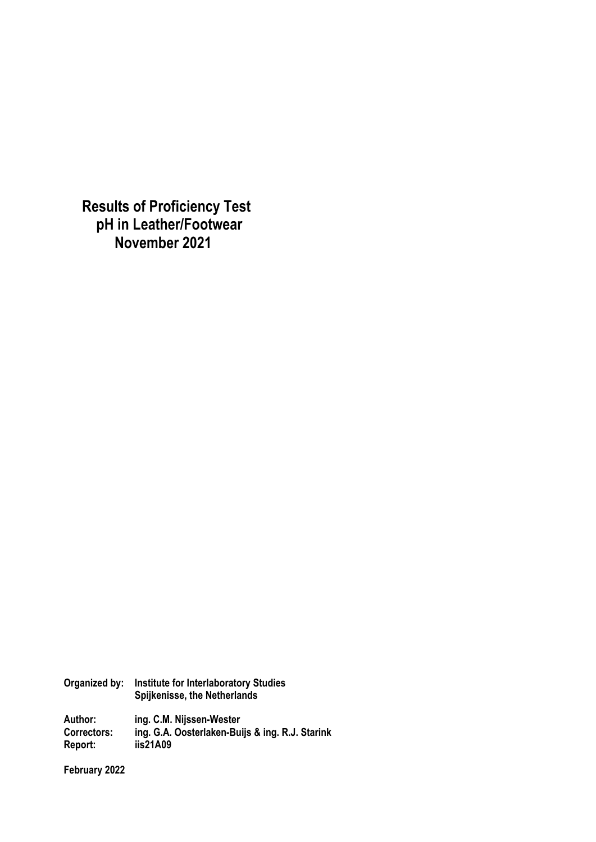**Results of Proficiency Test pH in Leather/Footwear November 2021**

| Organized by: | <b>Institute for Interlaboratory Studies</b><br>Spijkenisse, the Netherlands |
|---------------|------------------------------------------------------------------------------|
| Author:       | ing. C.M. Nijssen-Wester                                                     |
| Correctors:   | ing. G.A. Oosterlaken-Buijs & ing. R.J. Starink                              |
| Report:       | iis21A09                                                                     |

**February 2022**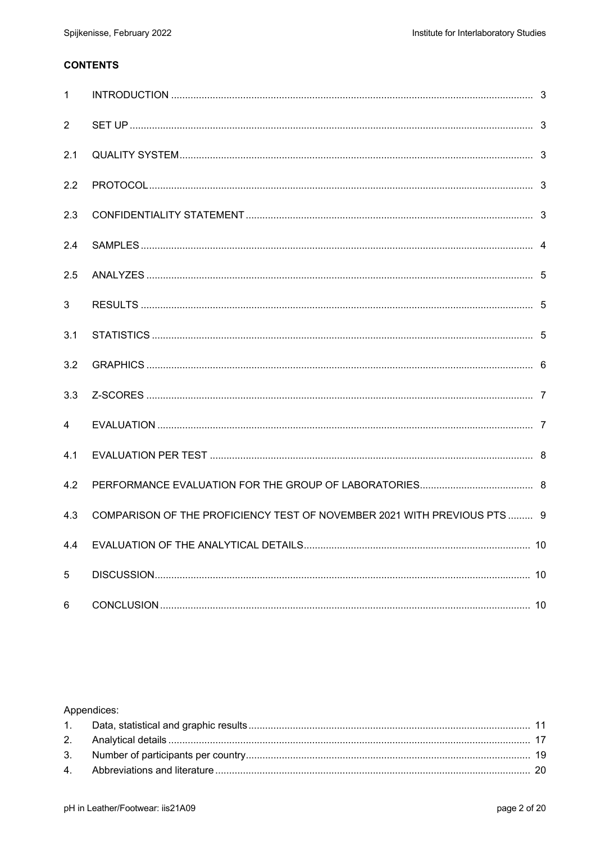## **CONTENTS**

| $\mathbf{1}$   |                                                                         |  |
|----------------|-------------------------------------------------------------------------|--|
| $\overline{2}$ |                                                                         |  |
| 2.1            |                                                                         |  |
| 2.2            |                                                                         |  |
| 2.3            |                                                                         |  |
| 2.4            |                                                                         |  |
| 2.5            |                                                                         |  |
| 3              |                                                                         |  |
| 3.1            |                                                                         |  |
| 3.2            |                                                                         |  |
| 3.3            |                                                                         |  |
| $\overline{4}$ |                                                                         |  |
| 4.1            |                                                                         |  |
| 4.2            |                                                                         |  |
| 4.3            | COMPARISON OF THE PROFICIENCY TEST OF NOVEMBER 2021 WITH PREVIOUS PTS 9 |  |
| 4.4            |                                                                         |  |
| 5              |                                                                         |  |
| 6              |                                                                         |  |

## Appendices: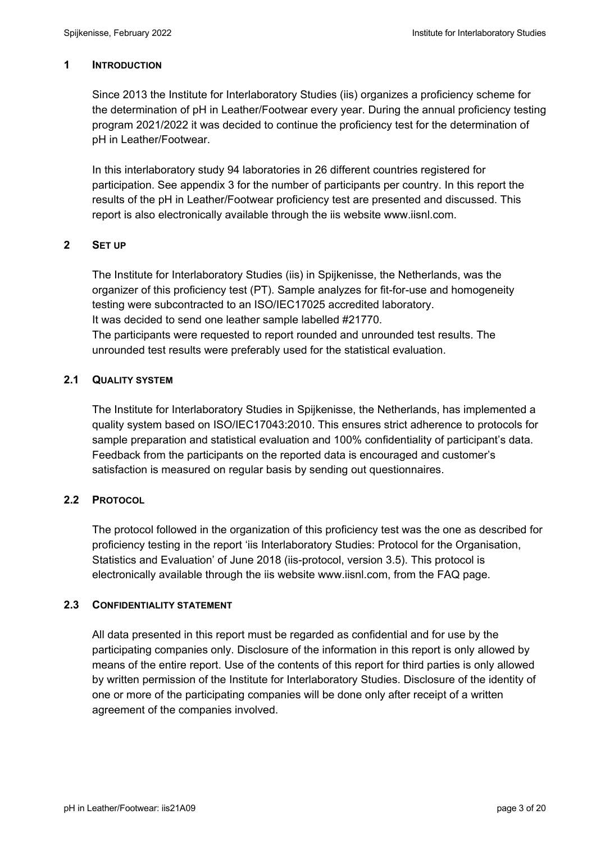#### **1 INTRODUCTION**

Since 2013 the Institute for Interlaboratory Studies (iis) organizes a proficiency scheme for the determination of pH in Leather/Footwear every year. During the annual proficiency testing program 2021/2022 it was decided to continue the proficiency test for the determination of pH in Leather/Footwear.

In this interlaboratory study 94 laboratories in 26 different countries registered for participation. See appendix 3 for the number of participants per country. In this report the results of the pH in Leather/Footwear proficiency test are presented and discussed. This report is also electronically available through the iis website www.iisnl.com.

### **2 SET UP**

The Institute for Interlaboratory Studies (iis) in Spijkenisse, the Netherlands, was the organizer of this proficiency test (PT). Sample analyzes for fit-for-use and homogeneity testing were subcontracted to an ISO/IEC17025 accredited laboratory. It was decided to send one leather sample labelled #21770. The participants were requested to report rounded and unrounded test results. The unrounded test results were preferably used for the statistical evaluation.

### **2.1 QUALITY SYSTEM**

The Institute for Interlaboratory Studies in Spijkenisse, the Netherlands, has implemented a quality system based on ISO/IEC17043:2010. This ensures strict adherence to protocols for sample preparation and statistical evaluation and 100% confidentiality of participant's data. Feedback from the participants on the reported data is encouraged and customer's satisfaction is measured on regular basis by sending out questionnaires.

## **2.2 PROTOCOL**

The protocol followed in the organization of this proficiency test was the one as described for proficiency testing in the report 'iis Interlaboratory Studies: Protocol for the Organisation, Statistics and Evaluation' of June 2018 (iis-protocol, version 3.5). This protocol is electronically available through the iis website www.iisnl.com, from the FAQ page.

#### **2.3 CONFIDENTIALITY STATEMENT**

All data presented in this report must be regarded as confidential and for use by the participating companies only. Disclosure of the information in this report is only allowed by means of the entire report. Use of the contents of this report for third parties is only allowed by written permission of the Institute for Interlaboratory Studies. Disclosure of the identity of one or more of the participating companies will be done only after receipt of a written agreement of the companies involved.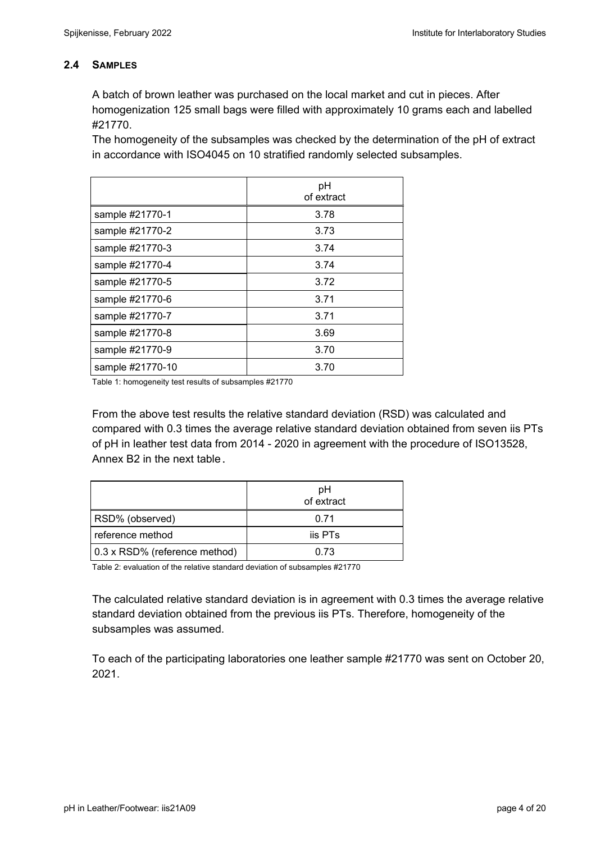### **2.4 SAMPLES**

A batch of brown leather was purchased on the local market and cut in pieces. After homogenization 125 small bags were filled with approximately 10 grams each and labelled #21770.

The homogeneity of the subsamples was checked by the determination of the pH of extract in accordance with ISO4045 on 10 stratified randomly selected subsamples.

|                  | pH<br>of extract |
|------------------|------------------|
| sample #21770-1  | 3.78             |
| sample #21770-2  | 3.73             |
| sample #21770-3  | 3.74             |
| sample #21770-4  | 3.74             |
| sample #21770-5  | 3.72             |
| sample #21770-6  | 3.71             |
| sample #21770-7  | 3.71             |
| sample #21770-8  | 3.69             |
| sample #21770-9  | 3.70             |
| sample #21770-10 | 3.70             |

Table 1: homogeneity test results of subsamples #21770

From the above test results the relative standard deviation (RSD) was calculated and compared with 0.3 times the average relative standard deviation obtained from seven iis PTs of pH in leather test data from 2014 - 2020 in agreement with the procedure of ISO13528, Annex B2 in the next table.

|                               | pH<br>of extract |
|-------------------------------|------------------|
| RSD% (observed)               | በ 71             |
| reference method              | iis PTs          |
| 0.3 x RSD% (reference method) | 0.73             |

Table 2: evaluation of the relative standard deviation of subsamples #21770

The calculated relative standard deviation is in agreement with 0.3 times the average relative standard deviation obtained from the previous iis PTs. Therefore, homogeneity of the subsamples was assumed.

To each of the participating laboratories one leather sample #21770 was sent on October 20, 2021.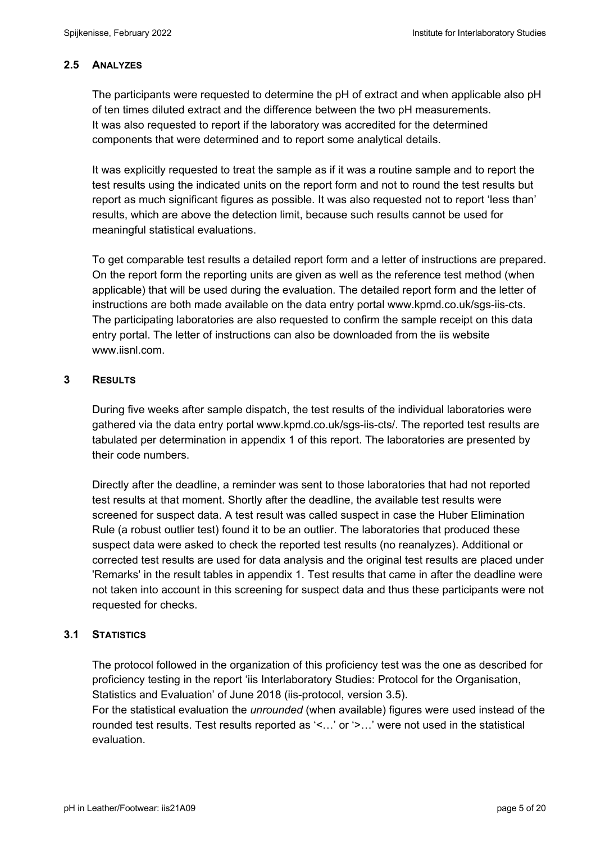### **2.5 ANALYZES**

The participants were requested to determine the pH of extract and when applicable also pH of ten times diluted extract and the difference between the two pH measurements. It was also requested to report if the laboratory was accredited for the determined components that were determined and to report some analytical details.

It was explicitly requested to treat the sample as if it was a routine sample and to report the test results using the indicated units on the report form and not to round the test results but report as much significant figures as possible. It was also requested not to report 'less than' results, which are above the detection limit, because such results cannot be used for meaningful statistical evaluations.

To get comparable test results a detailed report form and a letter of instructions are prepared. On the report form the reporting units are given as well as the reference test method (when applicable) that will be used during the evaluation. The detailed report form and the letter of instructions are both made available on the data entry portal www.kpmd.co.uk/sgs-iis-cts. The participating laboratories are also requested to confirm the sample receipt on this data entry portal. The letter of instructions can also be downloaded from the iis website www.iisnl.com.

### **3 RESULTS**

During five weeks after sample dispatch, the test results of the individual laboratories were gathered via the data entry portal www.kpmd.co.uk/sgs-iis-cts/. The reported test results are tabulated per determination in appendix 1 of this report. The laboratories are presented by their code numbers.

Directly after the deadline, a reminder was sent to those laboratories that had not reported test results at that moment. Shortly after the deadline, the available test results were screened for suspect data. A test result was called suspect in case the Huber Elimination Rule (a robust outlier test) found it to be an outlier. The laboratories that produced these suspect data were asked to check the reported test results (no reanalyzes). Additional or corrected test results are used for data analysis and the original test results are placed under 'Remarks' in the result tables in appendix 1. Test results that came in after the deadline were not taken into account in this screening for suspect data and thus these participants were not requested for checks.

#### **3.1 STATISTICS**

The protocol followed in the organization of this proficiency test was the one as described for proficiency testing in the report 'iis Interlaboratory Studies: Protocol for the Organisation, Statistics and Evaluation' of June 2018 (iis-protocol, version 3.5).

For the statistical evaluation the *unrounded* (when available) figures were used instead of the rounded test results. Test results reported as '<…' or '>…' were not used in the statistical evaluation.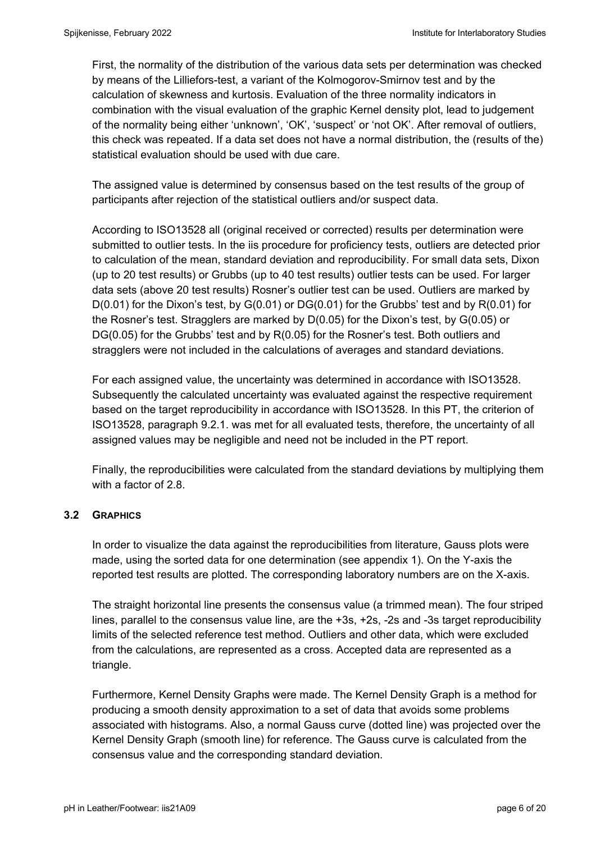First, the normality of the distribution of the various data sets per determination was checked by means of the Lilliefors-test, a variant of the Kolmogorov-Smirnov test and by the calculation of skewness and kurtosis. Evaluation of the three normality indicators in combination with the visual evaluation of the graphic Kernel density plot, lead to judgement of the normality being either 'unknown', 'OK', 'suspect' or 'not OK'. After removal of outliers, this check was repeated. If a data set does not have a normal distribution, the (results of the) statistical evaluation should be used with due care.

The assigned value is determined by consensus based on the test results of the group of participants after rejection of the statistical outliers and/or suspect data.

According to ISO13528 all (original received or corrected) results per determination were submitted to outlier tests. In the iis procedure for proficiency tests, outliers are detected prior to calculation of the mean, standard deviation and reproducibility. For small data sets, Dixon (up to 20 test results) or Grubbs (up to 40 test results) outlier tests can be used. For larger data sets (above 20 test results) Rosner's outlier test can be used. Outliers are marked by  $D(0.01)$  for the Dixon's test, by  $G(0.01)$  or  $DG(0.01)$  for the Grubbs' test and by  $R(0.01)$  for the Rosner's test. Stragglers are marked by D(0.05) for the Dixon's test, by G(0.05) or DG(0.05) for the Grubbs' test and by R(0.05) for the Rosner's test. Both outliers and stragglers were not included in the calculations of averages and standard deviations.

For each assigned value, the uncertainty was determined in accordance with ISO13528. Subsequently the calculated uncertainty was evaluated against the respective requirement based on the target reproducibility in accordance with ISO13528. In this PT, the criterion of ISO13528, paragraph 9.2.1. was met for all evaluated tests, therefore, the uncertainty of all assigned values may be negligible and need not be included in the PT report.

Finally, the reproducibilities were calculated from the standard deviations by multiplying them with a factor of 2.8.

#### **3.2 GRAPHICS**

In order to visualize the data against the reproducibilities from literature, Gauss plots were made, using the sorted data for one determination (see appendix 1). On the Y-axis the reported test results are plotted. The corresponding laboratory numbers are on the X-axis.

The straight horizontal line presents the consensus value (a trimmed mean). The four striped lines, parallel to the consensus value line, are the +3s, +2s, -2s and -3s target reproducibility limits of the selected reference test method. Outliers and other data, which were excluded from the calculations, are represented as a cross. Accepted data are represented as a triangle.

Furthermore, Kernel Density Graphs were made. The Kernel Density Graph is a method for producing a smooth density approximation to a set of data that avoids some problems associated with histograms. Also, a normal Gauss curve (dotted line) was projected over the Kernel Density Graph (smooth line) for reference. The Gauss curve is calculated from the consensus value and the corresponding standard deviation.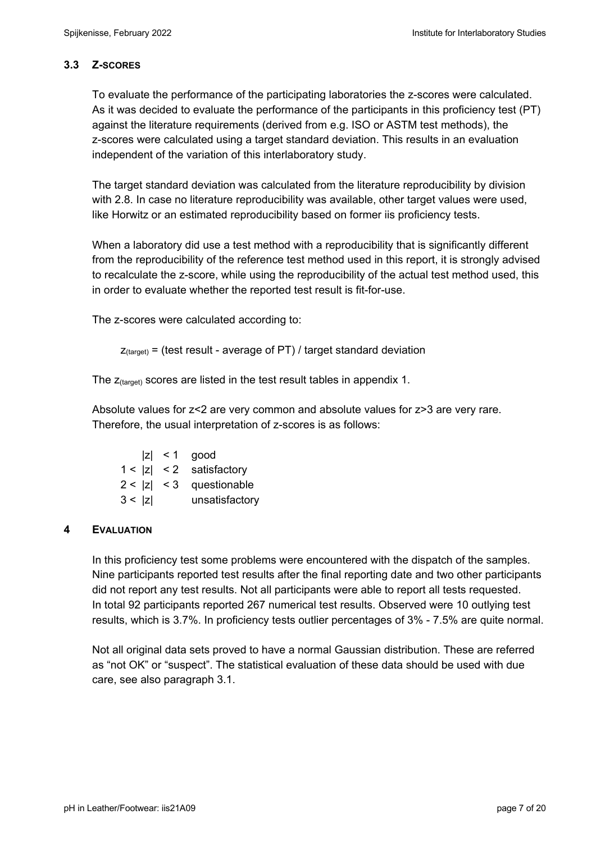## **3.3 Z-SCORES**

To evaluate the performance of the participating laboratories the z-scores were calculated. As it was decided to evaluate the performance of the participants in this proficiency test (PT) against the literature requirements (derived from e.g. ISO or ASTM test methods), the z-scores were calculated using a target standard deviation. This results in an evaluation independent of the variation of this interlaboratory study.

The target standard deviation was calculated from the literature reproducibility by division with 2.8. In case no literature reproducibility was available, other target values were used, like Horwitz or an estimated reproducibility based on former iis proficiency tests.

When a laboratory did use a test method with a reproducibility that is significantly different from the reproducibility of the reference test method used in this report, it is strongly advised to recalculate the z-score, while using the reproducibility of the actual test method used, this in order to evaluate whether the reported test result is fit-for-use.

The z-scores were calculated according to:

```
Z_{\text{target}} = (test result - average of PT) / target standard deviation
```
The  $z_{\text{(target)}}$  scores are listed in the test result tables in appendix 1.

Absolute values for z<2 are very common and absolute values for z>3 are very rare. Therefore, the usual interpretation of z-scores is as follows:

|        | $ z  < 1$ good             |
|--------|----------------------------|
|        | $1 <  z  < 2$ satisfactory |
|        | $2 <  z  < 3$ questionable |
| 3 <  z | unsatisfactory             |

## **4 EVALUATION**

In this proficiency test some problems were encountered with the dispatch of the samples. Nine participants reported test results after the final reporting date and two other participants did not report any test results. Not all participants were able to report all tests requested. In total 92 participants reported 267 numerical test results. Observed were 10 outlying test results, which is 3.7%. In proficiency tests outlier percentages of 3% - 7.5% are quite normal.

Not all original data sets proved to have a normal Gaussian distribution. These are referred as "not OK" or "suspect". The statistical evaluation of these data should be used with due care, see also paragraph 3.1.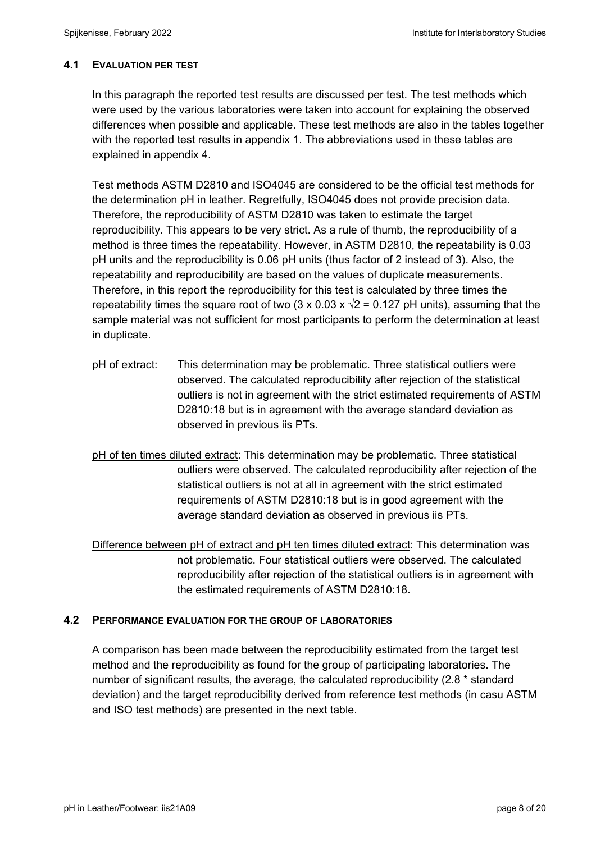### **4.1 EVALUATION PER TEST**

In this paragraph the reported test results are discussed per test. The test methods which were used by the various laboratories were taken into account for explaining the observed differences when possible and applicable. These test methods are also in the tables together with the reported test results in appendix 1. The abbreviations used in these tables are explained in appendix 4.

Test methods ASTM D2810 and ISO4045 are considered to be the official test methods for the determination pH in leather. Regretfully, ISO4045 does not provide precision data. Therefore, the reproducibility of ASTM D2810 was taken to estimate the target reproducibility. This appears to be very strict. As a rule of thumb, the reproducibility of a method is three times the repeatability. However, in ASTM D2810, the repeatability is 0.03 pH units and the reproducibility is 0.06 pH units (thus factor of 2 instead of 3). Also, the repeatability and reproducibility are based on the values of duplicate measurements. Therefore, in this report the reproducibility for this test is calculated by three times the repeatability times the square root of two (3 x 0.03 x  $\sqrt{2}$  = 0.127 pH units), assuming that the sample material was not sufficient for most participants to perform the determination at least in duplicate.

- pH of extract: This determination may be problematic. Three statistical outliers were observed. The calculated reproducibility after rejection of the statistical outliers is not in agreement with the strict estimated requirements of ASTM D2810:18 but is in agreement with the average standard deviation as observed in previous iis PTs.
- pH of ten times diluted extract: This determination may be problematic. Three statistical outliers were observed. The calculated reproducibility after rejection of the statistical outliers is not at all in agreement with the strict estimated requirements of ASTM D2810:18 but is in good agreement with the average standard deviation as observed in previous iis PTs.

Difference between pH of extract and pH ten times diluted extract: This determination was not problematic. Four statistical outliers were observed. The calculated reproducibility after rejection of the statistical outliers is in agreement with the estimated requirements of ASTM D2810:18.

#### **4.2 PERFORMANCE EVALUATION FOR THE GROUP OF LABORATORIES**

A comparison has been made between the reproducibility estimated from the target test method and the reproducibility as found for the group of participating laboratories. The number of significant results, the average, the calculated reproducibility (2.8 \* standard deviation) and the target reproducibility derived from reference test methods (in casu ASTM and ISO test methods) are presented in the next table.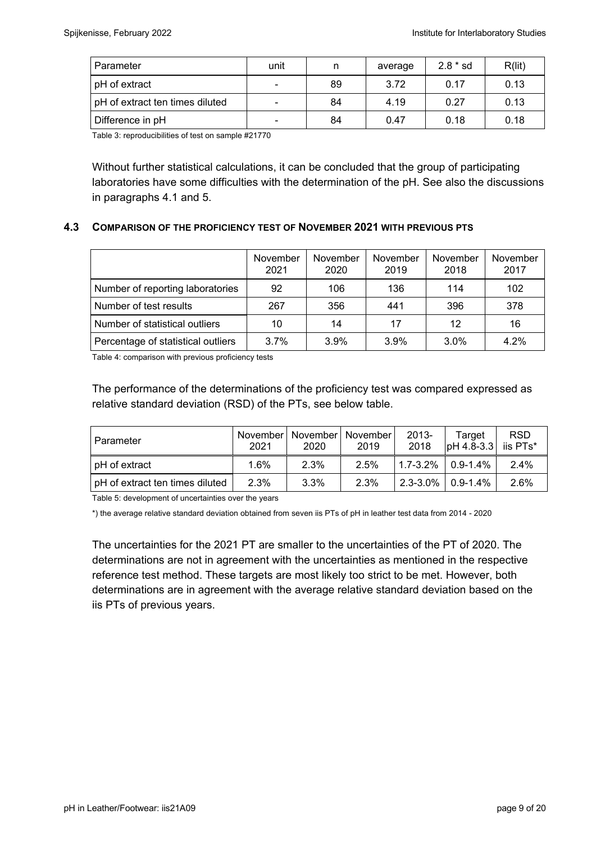| Parameter                       | unit                     | n  | average | $2.8 * sd$ | R(lit) |
|---------------------------------|--------------------------|----|---------|------------|--------|
| pH of extract                   |                          | 89 | 3.72    | 0.17       | 0.13   |
| pH of extract ten times diluted | $\overline{\phantom{0}}$ | 84 | 4.19    | 0.27       | 0.13   |
| Difference in pH                | $\overline{\phantom{0}}$ | 84 | 0.47    | 0.18       | 0.18   |

Table 3: reproducibilities of test on sample #21770

Without further statistical calculations, it can be concluded that the group of participating laboratories have some difficulties with the determination of the pH. See also the discussions in paragraphs 4.1 and 5.

### **4.3 COMPARISON OF THE PROFICIENCY TEST OF NOVEMBER 2021 WITH PREVIOUS PTS**

|                                    | November<br>2021 | November<br>2020 | November<br>2019 | November<br>2018 | November<br>2017 |
|------------------------------------|------------------|------------------|------------------|------------------|------------------|
| Number of reporting laboratories   | 92               | 106              | 136              | 114              | 102              |
| Number of test results             | 267              | 356              | 441              | 396              | 378              |
| Number of statistical outliers     | 10               | 14               | 17               | 12               | 16               |
| Percentage of statistical outliers | 3.7%             | 3.9%             | 3.9%             | 3.0%             | 4.2%             |

Table 4: comparison with previous proficiency tests

The performance of the determinations of the proficiency test was compared expressed as relative standard deviation (RSD) of the PTs, see below table.

| Parameter                       | Novemberl<br>2021 | 2020 | November   November<br>2019 | 2013-<br>2018          | Target<br>$ $ pH 4.8-3.3 iis PTs* | <b>RSD</b> |
|---------------------------------|-------------------|------|-----------------------------|------------------------|-----------------------------------|------------|
| pH of extract                   | $1.6\%$           | 2.3% | 2.5%                        | $1.7 - 3.2\%$          | $0.9 - 1.4\%$                     | $2.4\%$    |
| pH of extract ten times diluted | 2.3%              | 3.3% | 2.3%                        | $2.3 - 3.0\%$ 0.9-1.4% |                                   | 2.6%       |

Table 5: development of uncertainties over the years

\*) the average relative standard deviation obtained from seven iis PTs of pH in leather test data from 2014 - 2020

The uncertainties for the 2021 PT are smaller to the uncertainties of the PT of 2020. The determinations are not in agreement with the uncertainties as mentioned in the respective reference test method. These targets are most likely too strict to be met. However, both determinations are in agreement with the average relative standard deviation based on the iis PTs of previous years.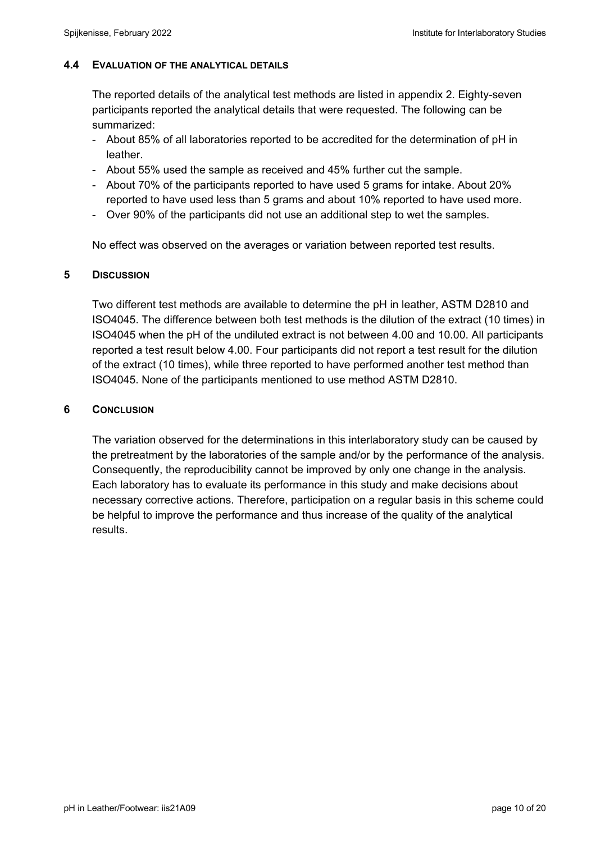### **4.4 EVALUATION OF THE ANALYTICAL DETAILS**

The reported details of the analytical test methods are listed in appendix 2. Eighty-seven participants reported the analytical details that were requested. The following can be summarized:

- About 85% of all laboratories reported to be accredited for the determination of pH in leather.
- About 55% used the sample as received and 45% further cut the sample.
- About 70% of the participants reported to have used 5 grams for intake. About 20% reported to have used less than 5 grams and about 10% reported to have used more.
- Over 90% of the participants did not use an additional step to wet the samples.

No effect was observed on the averages or variation between reported test results.

### **5 DISCUSSION**

Two different test methods are available to determine the pH in leather, ASTM D2810 and ISO4045. The difference between both test methods is the dilution of the extract (10 times) in ISO4045 when the pH of the undiluted extract is not between 4.00 and 10.00. All participants reported a test result below 4.00. Four participants did not report a test result for the dilution of the extract (10 times), while three reported to have performed another test method than ISO4045. None of the participants mentioned to use method ASTM D2810.

### **6 CONCLUSION**

The variation observed for the determinations in this interlaboratory study can be caused by the pretreatment by the laboratories of the sample and/or by the performance of the analysis. Consequently, the reproducibility cannot be improved by only one change in the analysis. Each laboratory has to evaluate its performance in this study and make decisions about necessary corrective actions. Therefore, participation on a regular basis in this scheme could be helpful to improve the performance and thus increase of the quality of the analytical results.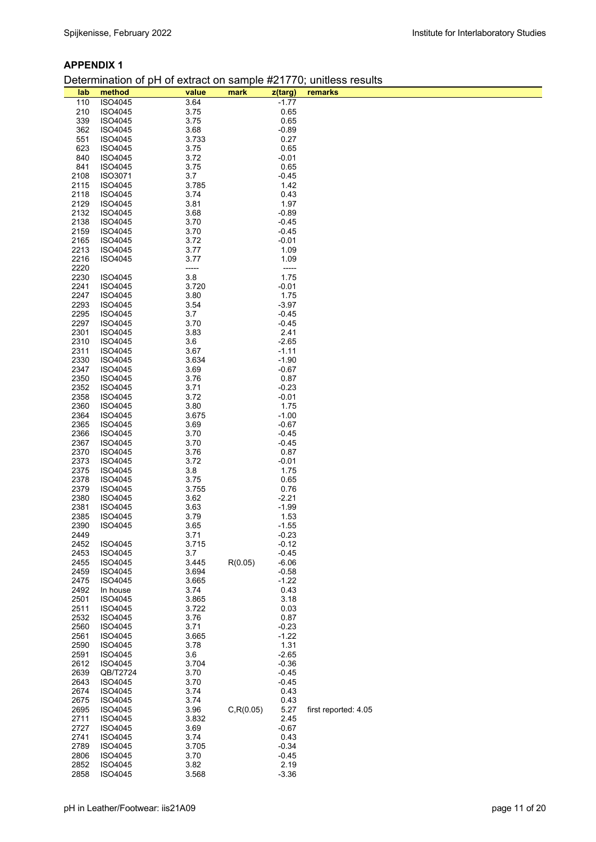#### **APPENDIX 1**

#### Determination of pH of extract on sample #21770; unitless results

| lab          | .<br>method        | value          | .<br>mark  | z(targ)            | remarks              |
|--------------|--------------------|----------------|------------|--------------------|----------------------|
| 110          | ISO4045            | 3.64           |            | $-1.77$            |                      |
| 210          | ISO4045            | 3.75           |            | 0.65               |                      |
| 339          | ISO4045            | 3.75           |            | 0.65               |                      |
| 362          | ISO4045            | 3.68           |            | $-0.89$            |                      |
| 551          | ISO4045            | 3.733          |            | 0.27               |                      |
| 623          | ISO4045            | 3.75           |            | 0.65               |                      |
| 840          | ISO4045            | 3.72           |            | $-0.01$            |                      |
| 841          | ISO4045            | 3.75           |            | 0.65               |                      |
| 2108         | ISO3071            | 3.7            |            | $-0.45$            |                      |
| 2115         | ISO4045            | 3.785          |            | 1.42               |                      |
| 2118         | ISO4045            | 3.74           |            | 0.43               |                      |
| 2129         | ISO4045            | 3.81           |            | 1.97               |                      |
| 2132         | ISO4045            | 3.68           |            | $-0.89$            |                      |
| 2138<br>2159 | ISO4045<br>ISO4045 | 3.70<br>3.70   |            | $-0.45$<br>$-0.45$ |                      |
| 2165         | ISO4045            | 3.72           |            | $-0.01$            |                      |
| 2213         | ISO4045            | 3.77           |            | 1.09               |                      |
| 2216         | ISO4045            | 3.77           |            | 1.09               |                      |
| 2220         |                    | -----          |            | -----              |                      |
| 2230         | ISO4045            | 3.8            |            | 1.75               |                      |
| 2241         | <b>ISO4045</b>     | 3.720          |            | $-0.01$            |                      |
| 2247         | ISO4045            | 3.80           |            | 1.75               |                      |
| 2293         | ISO4045            | 3.54           |            | $-3.97$            |                      |
| 2295         | ISO4045            | 3.7            |            | $-0.45$            |                      |
| 2297         | ISO4045            | 3.70           |            | $-0.45$            |                      |
| 2301         | ISO4045            | 3.83           |            | 2.41               |                      |
| 2310         | ISO4045            | 3.6            |            | $-2.65$            |                      |
| 2311         | ISO4045            | 3.67           |            | $-1.11$            |                      |
| 2330<br>2347 | ISO4045<br>ISO4045 | 3.634<br>3.69  |            | $-1.90$<br>$-0.67$ |                      |
| 2350         | ISO4045            | 3.76           |            | 0.87               |                      |
| 2352         | ISO4045            | 3.71           |            | $-0.23$            |                      |
| 2358         | ISO4045            | 3.72           |            | $-0.01$            |                      |
| 2360         | ISO4045            | 3.80           |            | 1.75               |                      |
| 2364         | ISO4045            | 3.675          |            | $-1.00$            |                      |
| 2365         | ISO4045            | 3.69           |            | $-0.67$            |                      |
| 2366         | ISO4045            | 3.70           |            | $-0.45$            |                      |
| 2367         | ISO4045            | 3.70           |            | $-0.45$            |                      |
| 2370         | ISO4045            | 3.76           |            | 0.87               |                      |
| 2373         | ISO4045            | 3.72           |            | $-0.01$            |                      |
| 2375         | ISO4045            | 3.8            |            | 1.75               |                      |
| 2378         | ISO4045            | 3.75           |            | 0.65               |                      |
| 2379<br>2380 | ISO4045<br>ISO4045 | 3.755<br>3.62  |            | 0.76<br>$-2.21$    |                      |
| 2381         | ISO4045            | 3.63           |            | $-1.99$            |                      |
| 2385         | <b>ISO4045</b>     | 3.79           |            | 1.53               |                      |
| 2390         | ISO4045            | 3.65           |            | $-1.55$            |                      |
| 2449         |                    | 3.71           |            | $-0.23$            |                      |
| 2452         | ISO4045            | 3.715          |            | $-0.12$            |                      |
| 2453         | ISO4045            | 3.7            |            | $-0.45$            |                      |
| 2455         | ISO4045            | 3.445          | R(0.05)    | $-6.06$            |                      |
| 2459         | ISO4045            | 3.694          |            | $-0.58$            |                      |
| 2475         | ISO4045            | 3.665          |            | $-1.22$            |                      |
| 2492         | In house           | 3.74           |            | 0.43               |                      |
| 2501<br>2511 | ISO4045<br>ISO4045 | 3.865<br>3.722 |            | 3.18<br>0.03       |                      |
| 2532         | ISO4045            | 3.76           |            | 0.87               |                      |
| 2560         | ISO4045            | 3.71           |            | $-0.23$            |                      |
| 2561         | ISO4045            | 3.665          |            | $-1.22$            |                      |
| 2590         | ISO4045            | 3.78           |            | 1.31               |                      |
| 2591         | ISO4045            | 3.6            |            | $-2.65$            |                      |
| 2612         | ISO4045            | 3.704          |            | $-0.36$            |                      |
| 2639         | QB/T2724           | 3.70           |            | $-0.45$            |                      |
| 2643         | ISO4045            | 3.70           |            | $-0.45$            |                      |
| 2674         | ISO4045            | 3.74           |            | 0.43               |                      |
| 2675         | ISO4045            | 3.74           |            | 0.43               |                      |
| 2695         | ISO4045            | 3.96           | C, R(0.05) | 5.27               | first reported: 4.05 |
| 2711         | ISO4045            | 3.832          |            | 2.45               |                      |
| 2727<br>2741 | ISO4045<br>ISO4045 | 3.69<br>3.74   |            | $-0.67$<br>0.43    |                      |
| 2789         | ISO4045            | 3.705          |            | $-0.34$            |                      |
| 2806         | ISO4045            | 3.70           |            | $-0.45$            |                      |
| 2852         | ISO4045            | 3.82           |            | 2.19               |                      |
| 2858         | ISO4045            | 3.568          |            | $-3.36$            |                      |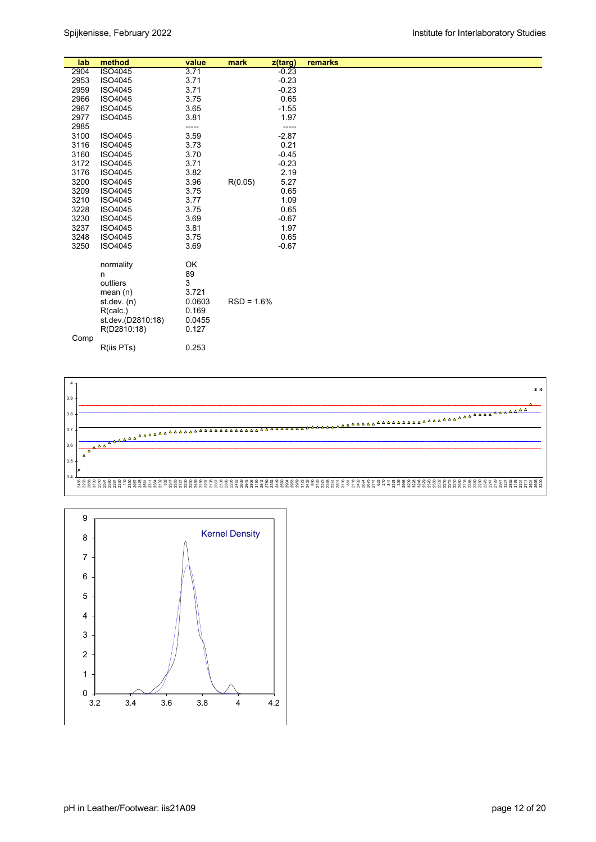| lab  | method            | value  | mark         | z(targ) | remarks |
|------|-------------------|--------|--------------|---------|---------|
| 2904 | ISO4045           | 3.71   |              | $-0.23$ |         |
| 2953 | ISO4045           | 3.71   |              | $-0.23$ |         |
| 2959 | ISO4045           | 3.71   |              | $-0.23$ |         |
| 2966 | ISO4045           | 3.75   |              | 0.65    |         |
| 2967 | ISO4045           | 3.65   |              | $-1.55$ |         |
| 2977 | ISO4045           | 3.81   |              | 1.97    |         |
| 2985 |                   | -----  |              | -----   |         |
| 3100 | ISO4045           | 3.59   |              | $-2.87$ |         |
| 3116 | ISO4045           | 3.73   |              | 0.21    |         |
| 3160 | ISO4045           | 3.70   |              | $-0.45$ |         |
| 3172 | ISO4045           | 3.71   |              | $-0.23$ |         |
| 3176 | ISO4045           | 3.82   |              | 2.19    |         |
| 3200 | ISO4045           | 3.96   | R(0.05)      | 5.27    |         |
| 3209 | ISO4045           | 3.75   |              | 0.65    |         |
| 3210 | ISO4045           | 3.77   |              | 1.09    |         |
| 3228 | ISO4045           | 3.75   |              | 0.65    |         |
| 3230 | ISO4045           | 3.69   |              | $-0.67$ |         |
| 3237 | ISO4045           | 3.81   |              | 1.97    |         |
| 3248 | ISO4045           | 3.75   |              | 0.65    |         |
| 3250 | ISO4045           | 3.69   |              | $-0.67$ |         |
|      |                   | OK     |              |         |         |
|      | normality<br>n    | 89     |              |         |         |
|      | outliers          | 3      |              |         |         |
|      | mean $(n)$        | 3.721  |              |         |         |
|      | st. dev. (n)      | 0.0603 | $RSD = 1.6%$ |         |         |
|      | R(calc.)          | 0.169  |              |         |         |
|      | st.dev.(D2810:18) | 0.0455 |              |         |         |
|      | R(D2810:18)       | 0.127  |              |         |         |
| Comp |                   |        |              |         |         |
|      | R(iis PTs)        | 0.253  |              |         |         |



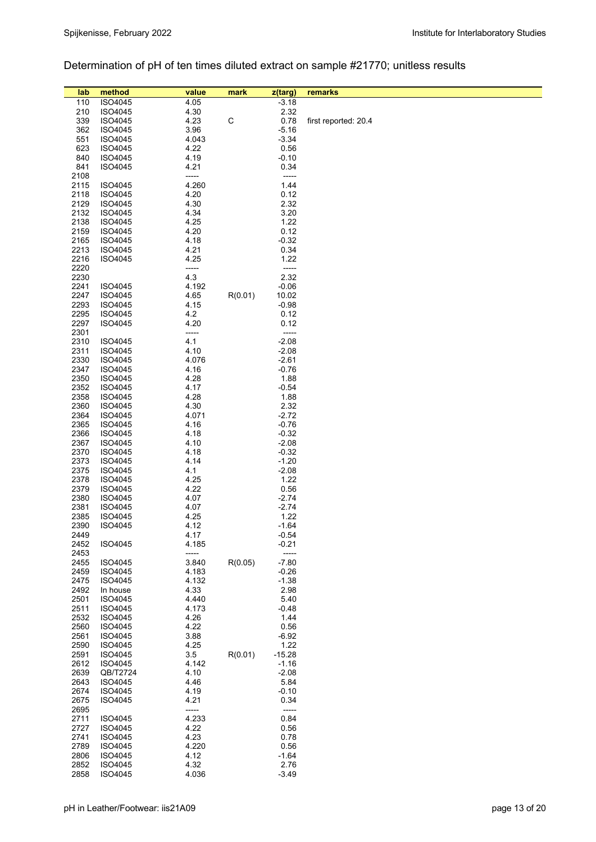## Determination of pH of ten times diluted extract on sample #21770; unitless results

| 4.05<br>$-3.18$<br>110<br>ISO4045<br>4.30<br>2.32<br>210<br>ISO4045<br>$\mathsf C$<br>339<br>ISO4045<br>4.23<br>0.78<br>first reported: 20.4<br>362<br>3.96<br>$-5.16$<br><b>ISO4045</b><br>551<br>4.043<br>$-3.34$<br><b>ISO4045</b><br>623<br>4.22<br><b>ISO4045</b><br>0.56<br>840<br>4.19<br>$-0.10$<br>ISO4045<br>841<br><b>ISO4045</b><br>4.21<br>0.34<br>2108<br>-----<br>-----<br>4.260<br>2115<br>1.44<br><b>ISO4045</b><br>4.20<br>0.12<br>2118<br>ISO4045<br>2129<br>4.30<br>2.32<br>ISO4045<br>2132<br>4.34<br>3.20<br><b>ISO4045</b><br>2138<br>1.22<br><b>ISO4045</b><br>4.25<br>0.12<br>2159<br>4.20<br><b>ISO4045</b><br>2165<br>4.18<br>$-0.32$<br><b>ISO4045</b><br>2213<br>4.21<br>0.34<br><b>ISO4045</b><br>2216<br>4.25<br>1.22<br>ISO4045<br>2220<br>-----<br>-----<br>4.3<br>2.32<br>2230<br>2241<br>4.192<br>$-0.06$<br><b>ISO4045</b><br>2247<br>4.65<br>R(0.01)<br><b>ISO4045</b><br>10.02<br>2293<br><b>ISO4045</b><br>4.15<br>$-0.98$<br>2295<br>4.2<br>0.12<br><b>ISO4045</b><br>2297<br>4.20<br>0.12<br>ISO4045<br>2301<br>-----<br>-----<br>4.1<br>2310<br>ISO4045<br>$-2.08$<br>2311<br>4.10<br>ISO4045<br>$-2.08$<br>2330<br>4.076<br>$-2.61$<br><b>ISO4045</b><br>2347<br>4.16<br>$-0.76$<br><b>ISO4045</b><br>2350<br>4.28<br>ISO4045<br>1.88<br>2352<br>4.17<br>$-0.54$<br><b>ISO4045</b><br>2358<br>4.28<br>1.88<br><b>ISO4045</b><br>2360<br>4.30<br>2.32<br><b>ISO4045</b><br>2364<br>4.071<br>$-2.72$<br><b>ISO4045</b><br>2365<br><b>ISO4045</b><br>4.16<br>$-0.76$<br>2366<br>4.18<br>$-0.32$<br><b>ISO4045</b><br>2367<br><b>ISO4045</b><br>4.10<br>$-2.08$<br>2370<br>4.18<br>$-0.32$<br><b>ISO4045</b><br>2373<br>4.14<br>$-1.20$<br><b>ISO4045</b><br>2375<br>ISO4045<br>4.1<br>$-2.08$<br>2378<br>4.25<br>1.22<br><b>ISO4045</b><br>2379<br>4.22<br>0.56<br><b>ISO4045</b><br>2380<br>4.07<br>ISO4045<br>$-2.74$<br>2381<br>4.07<br><b>ISO4045</b><br>-2.74<br>2385<br>1.22<br>ISO4045<br>4.25<br>2390<br>4.12<br>$-1.64$<br><b>ISO4045</b><br>4.17<br>2449<br>$-0.54$<br>2452<br>ISO4045<br>4.185<br>$-0.21$<br>2453<br>-----<br>3.840<br>$-7.80$<br>2455<br>ISO4045<br>R(0.05)<br>2459<br>ISO4045<br>4.183<br>$-0.26$<br>2475<br>$-1.38$<br><b>ISO4045</b><br>4.132<br>2492<br>4.33<br>2.98<br>In house<br>2501<br>ISO4045<br>4.440<br>5.40<br>2511<br>ISO4045<br>4.173<br>$-0.48$<br>2532<br>ISO4045<br>4.26<br>1.44<br>2560<br>4.22<br>ISO4045<br>0.56<br>3.88<br>2561<br>ISO4045<br>$-6.92$<br>2590<br>4.25<br>1.22<br>ISO4045<br>3.5<br>2591<br>ISO4045<br>R(0.01)<br>$-15.28$<br>2612<br>ISO4045<br>4.142<br>$-1.16$<br>2639<br>4.10<br>QB/T2724<br>$-2.08$<br>2643<br>ISO4045<br>4.46<br>5.84<br>2674<br>$-0.10$<br>ISO4045<br>4.19<br>2675<br>4.21<br>0.34<br><b>ISO4045</b><br>2695<br>-----<br>-----<br>4.233<br>0.84<br>2711<br><b>ISO4045</b><br>4.22<br>0.56<br>2727<br>ISO4045<br>4.23<br>2741<br>0.78<br><b>ISO4045</b><br>2789<br>4.220<br>ISO4045<br>0.56<br>2806<br>ISO4045<br>4.12<br>$-1.64$<br>2852<br>4.32<br>2.76<br>ISO4045 | lab  | method  | value | mark | z(targ) | remarks |
|-----------------------------------------------------------------------------------------------------------------------------------------------------------------------------------------------------------------------------------------------------------------------------------------------------------------------------------------------------------------------------------------------------------------------------------------------------------------------------------------------------------------------------------------------------------------------------------------------------------------------------------------------------------------------------------------------------------------------------------------------------------------------------------------------------------------------------------------------------------------------------------------------------------------------------------------------------------------------------------------------------------------------------------------------------------------------------------------------------------------------------------------------------------------------------------------------------------------------------------------------------------------------------------------------------------------------------------------------------------------------------------------------------------------------------------------------------------------------------------------------------------------------------------------------------------------------------------------------------------------------------------------------------------------------------------------------------------------------------------------------------------------------------------------------------------------------------------------------------------------------------------------------------------------------------------------------------------------------------------------------------------------------------------------------------------------------------------------------------------------------------------------------------------------------------------------------------------------------------------------------------------------------------------------------------------------------------------------------------------------------------------------------------------------------------------------------------------------------------------------------------------------------------------------------------------------------------------------------------------------------------------------------------------------------------------------------------------------------------------------------------------------------------------------------------------------------------------------------------------------------------------------------------------------------------------------------------------------------------------------------------|------|---------|-------|------|---------|---------|
|                                                                                                                                                                                                                                                                                                                                                                                                                                                                                                                                                                                                                                                                                                                                                                                                                                                                                                                                                                                                                                                                                                                                                                                                                                                                                                                                                                                                                                                                                                                                                                                                                                                                                                                                                                                                                                                                                                                                                                                                                                                                                                                                                                                                                                                                                                                                                                                                                                                                                                                                                                                                                                                                                                                                                                                                                                                                                                                                                                                                     |      |         |       |      |         |         |
|                                                                                                                                                                                                                                                                                                                                                                                                                                                                                                                                                                                                                                                                                                                                                                                                                                                                                                                                                                                                                                                                                                                                                                                                                                                                                                                                                                                                                                                                                                                                                                                                                                                                                                                                                                                                                                                                                                                                                                                                                                                                                                                                                                                                                                                                                                                                                                                                                                                                                                                                                                                                                                                                                                                                                                                                                                                                                                                                                                                                     |      |         |       |      |         |         |
|                                                                                                                                                                                                                                                                                                                                                                                                                                                                                                                                                                                                                                                                                                                                                                                                                                                                                                                                                                                                                                                                                                                                                                                                                                                                                                                                                                                                                                                                                                                                                                                                                                                                                                                                                                                                                                                                                                                                                                                                                                                                                                                                                                                                                                                                                                                                                                                                                                                                                                                                                                                                                                                                                                                                                                                                                                                                                                                                                                                                     |      |         |       |      |         |         |
|                                                                                                                                                                                                                                                                                                                                                                                                                                                                                                                                                                                                                                                                                                                                                                                                                                                                                                                                                                                                                                                                                                                                                                                                                                                                                                                                                                                                                                                                                                                                                                                                                                                                                                                                                                                                                                                                                                                                                                                                                                                                                                                                                                                                                                                                                                                                                                                                                                                                                                                                                                                                                                                                                                                                                                                                                                                                                                                                                                                                     |      |         |       |      |         |         |
|                                                                                                                                                                                                                                                                                                                                                                                                                                                                                                                                                                                                                                                                                                                                                                                                                                                                                                                                                                                                                                                                                                                                                                                                                                                                                                                                                                                                                                                                                                                                                                                                                                                                                                                                                                                                                                                                                                                                                                                                                                                                                                                                                                                                                                                                                                                                                                                                                                                                                                                                                                                                                                                                                                                                                                                                                                                                                                                                                                                                     |      |         |       |      |         |         |
|                                                                                                                                                                                                                                                                                                                                                                                                                                                                                                                                                                                                                                                                                                                                                                                                                                                                                                                                                                                                                                                                                                                                                                                                                                                                                                                                                                                                                                                                                                                                                                                                                                                                                                                                                                                                                                                                                                                                                                                                                                                                                                                                                                                                                                                                                                                                                                                                                                                                                                                                                                                                                                                                                                                                                                                                                                                                                                                                                                                                     |      |         |       |      |         |         |
|                                                                                                                                                                                                                                                                                                                                                                                                                                                                                                                                                                                                                                                                                                                                                                                                                                                                                                                                                                                                                                                                                                                                                                                                                                                                                                                                                                                                                                                                                                                                                                                                                                                                                                                                                                                                                                                                                                                                                                                                                                                                                                                                                                                                                                                                                                                                                                                                                                                                                                                                                                                                                                                                                                                                                                                                                                                                                                                                                                                                     |      |         |       |      |         |         |
|                                                                                                                                                                                                                                                                                                                                                                                                                                                                                                                                                                                                                                                                                                                                                                                                                                                                                                                                                                                                                                                                                                                                                                                                                                                                                                                                                                                                                                                                                                                                                                                                                                                                                                                                                                                                                                                                                                                                                                                                                                                                                                                                                                                                                                                                                                                                                                                                                                                                                                                                                                                                                                                                                                                                                                                                                                                                                                                                                                                                     |      |         |       |      |         |         |
|                                                                                                                                                                                                                                                                                                                                                                                                                                                                                                                                                                                                                                                                                                                                                                                                                                                                                                                                                                                                                                                                                                                                                                                                                                                                                                                                                                                                                                                                                                                                                                                                                                                                                                                                                                                                                                                                                                                                                                                                                                                                                                                                                                                                                                                                                                                                                                                                                                                                                                                                                                                                                                                                                                                                                                                                                                                                                                                                                                                                     |      |         |       |      |         |         |
|                                                                                                                                                                                                                                                                                                                                                                                                                                                                                                                                                                                                                                                                                                                                                                                                                                                                                                                                                                                                                                                                                                                                                                                                                                                                                                                                                                                                                                                                                                                                                                                                                                                                                                                                                                                                                                                                                                                                                                                                                                                                                                                                                                                                                                                                                                                                                                                                                                                                                                                                                                                                                                                                                                                                                                                                                                                                                                                                                                                                     |      |         |       |      |         |         |
|                                                                                                                                                                                                                                                                                                                                                                                                                                                                                                                                                                                                                                                                                                                                                                                                                                                                                                                                                                                                                                                                                                                                                                                                                                                                                                                                                                                                                                                                                                                                                                                                                                                                                                                                                                                                                                                                                                                                                                                                                                                                                                                                                                                                                                                                                                                                                                                                                                                                                                                                                                                                                                                                                                                                                                                                                                                                                                                                                                                                     |      |         |       |      |         |         |
|                                                                                                                                                                                                                                                                                                                                                                                                                                                                                                                                                                                                                                                                                                                                                                                                                                                                                                                                                                                                                                                                                                                                                                                                                                                                                                                                                                                                                                                                                                                                                                                                                                                                                                                                                                                                                                                                                                                                                                                                                                                                                                                                                                                                                                                                                                                                                                                                                                                                                                                                                                                                                                                                                                                                                                                                                                                                                                                                                                                                     |      |         |       |      |         |         |
|                                                                                                                                                                                                                                                                                                                                                                                                                                                                                                                                                                                                                                                                                                                                                                                                                                                                                                                                                                                                                                                                                                                                                                                                                                                                                                                                                                                                                                                                                                                                                                                                                                                                                                                                                                                                                                                                                                                                                                                                                                                                                                                                                                                                                                                                                                                                                                                                                                                                                                                                                                                                                                                                                                                                                                                                                                                                                                                                                                                                     |      |         |       |      |         |         |
|                                                                                                                                                                                                                                                                                                                                                                                                                                                                                                                                                                                                                                                                                                                                                                                                                                                                                                                                                                                                                                                                                                                                                                                                                                                                                                                                                                                                                                                                                                                                                                                                                                                                                                                                                                                                                                                                                                                                                                                                                                                                                                                                                                                                                                                                                                                                                                                                                                                                                                                                                                                                                                                                                                                                                                                                                                                                                                                                                                                                     |      |         |       |      |         |         |
|                                                                                                                                                                                                                                                                                                                                                                                                                                                                                                                                                                                                                                                                                                                                                                                                                                                                                                                                                                                                                                                                                                                                                                                                                                                                                                                                                                                                                                                                                                                                                                                                                                                                                                                                                                                                                                                                                                                                                                                                                                                                                                                                                                                                                                                                                                                                                                                                                                                                                                                                                                                                                                                                                                                                                                                                                                                                                                                                                                                                     |      |         |       |      |         |         |
|                                                                                                                                                                                                                                                                                                                                                                                                                                                                                                                                                                                                                                                                                                                                                                                                                                                                                                                                                                                                                                                                                                                                                                                                                                                                                                                                                                                                                                                                                                                                                                                                                                                                                                                                                                                                                                                                                                                                                                                                                                                                                                                                                                                                                                                                                                                                                                                                                                                                                                                                                                                                                                                                                                                                                                                                                                                                                                                                                                                                     |      |         |       |      |         |         |
|                                                                                                                                                                                                                                                                                                                                                                                                                                                                                                                                                                                                                                                                                                                                                                                                                                                                                                                                                                                                                                                                                                                                                                                                                                                                                                                                                                                                                                                                                                                                                                                                                                                                                                                                                                                                                                                                                                                                                                                                                                                                                                                                                                                                                                                                                                                                                                                                                                                                                                                                                                                                                                                                                                                                                                                                                                                                                                                                                                                                     |      |         |       |      |         |         |
|                                                                                                                                                                                                                                                                                                                                                                                                                                                                                                                                                                                                                                                                                                                                                                                                                                                                                                                                                                                                                                                                                                                                                                                                                                                                                                                                                                                                                                                                                                                                                                                                                                                                                                                                                                                                                                                                                                                                                                                                                                                                                                                                                                                                                                                                                                                                                                                                                                                                                                                                                                                                                                                                                                                                                                                                                                                                                                                                                                                                     |      |         |       |      |         |         |
|                                                                                                                                                                                                                                                                                                                                                                                                                                                                                                                                                                                                                                                                                                                                                                                                                                                                                                                                                                                                                                                                                                                                                                                                                                                                                                                                                                                                                                                                                                                                                                                                                                                                                                                                                                                                                                                                                                                                                                                                                                                                                                                                                                                                                                                                                                                                                                                                                                                                                                                                                                                                                                                                                                                                                                                                                                                                                                                                                                                                     |      |         |       |      |         |         |
|                                                                                                                                                                                                                                                                                                                                                                                                                                                                                                                                                                                                                                                                                                                                                                                                                                                                                                                                                                                                                                                                                                                                                                                                                                                                                                                                                                                                                                                                                                                                                                                                                                                                                                                                                                                                                                                                                                                                                                                                                                                                                                                                                                                                                                                                                                                                                                                                                                                                                                                                                                                                                                                                                                                                                                                                                                                                                                                                                                                                     |      |         |       |      |         |         |
|                                                                                                                                                                                                                                                                                                                                                                                                                                                                                                                                                                                                                                                                                                                                                                                                                                                                                                                                                                                                                                                                                                                                                                                                                                                                                                                                                                                                                                                                                                                                                                                                                                                                                                                                                                                                                                                                                                                                                                                                                                                                                                                                                                                                                                                                                                                                                                                                                                                                                                                                                                                                                                                                                                                                                                                                                                                                                                                                                                                                     |      |         |       |      |         |         |
|                                                                                                                                                                                                                                                                                                                                                                                                                                                                                                                                                                                                                                                                                                                                                                                                                                                                                                                                                                                                                                                                                                                                                                                                                                                                                                                                                                                                                                                                                                                                                                                                                                                                                                                                                                                                                                                                                                                                                                                                                                                                                                                                                                                                                                                                                                                                                                                                                                                                                                                                                                                                                                                                                                                                                                                                                                                                                                                                                                                                     |      |         |       |      |         |         |
|                                                                                                                                                                                                                                                                                                                                                                                                                                                                                                                                                                                                                                                                                                                                                                                                                                                                                                                                                                                                                                                                                                                                                                                                                                                                                                                                                                                                                                                                                                                                                                                                                                                                                                                                                                                                                                                                                                                                                                                                                                                                                                                                                                                                                                                                                                                                                                                                                                                                                                                                                                                                                                                                                                                                                                                                                                                                                                                                                                                                     |      |         |       |      |         |         |
|                                                                                                                                                                                                                                                                                                                                                                                                                                                                                                                                                                                                                                                                                                                                                                                                                                                                                                                                                                                                                                                                                                                                                                                                                                                                                                                                                                                                                                                                                                                                                                                                                                                                                                                                                                                                                                                                                                                                                                                                                                                                                                                                                                                                                                                                                                                                                                                                                                                                                                                                                                                                                                                                                                                                                                                                                                                                                                                                                                                                     |      |         |       |      |         |         |
|                                                                                                                                                                                                                                                                                                                                                                                                                                                                                                                                                                                                                                                                                                                                                                                                                                                                                                                                                                                                                                                                                                                                                                                                                                                                                                                                                                                                                                                                                                                                                                                                                                                                                                                                                                                                                                                                                                                                                                                                                                                                                                                                                                                                                                                                                                                                                                                                                                                                                                                                                                                                                                                                                                                                                                                                                                                                                                                                                                                                     |      |         |       |      |         |         |
|                                                                                                                                                                                                                                                                                                                                                                                                                                                                                                                                                                                                                                                                                                                                                                                                                                                                                                                                                                                                                                                                                                                                                                                                                                                                                                                                                                                                                                                                                                                                                                                                                                                                                                                                                                                                                                                                                                                                                                                                                                                                                                                                                                                                                                                                                                                                                                                                                                                                                                                                                                                                                                                                                                                                                                                                                                                                                                                                                                                                     |      |         |       |      |         |         |
|                                                                                                                                                                                                                                                                                                                                                                                                                                                                                                                                                                                                                                                                                                                                                                                                                                                                                                                                                                                                                                                                                                                                                                                                                                                                                                                                                                                                                                                                                                                                                                                                                                                                                                                                                                                                                                                                                                                                                                                                                                                                                                                                                                                                                                                                                                                                                                                                                                                                                                                                                                                                                                                                                                                                                                                                                                                                                                                                                                                                     |      |         |       |      |         |         |
|                                                                                                                                                                                                                                                                                                                                                                                                                                                                                                                                                                                                                                                                                                                                                                                                                                                                                                                                                                                                                                                                                                                                                                                                                                                                                                                                                                                                                                                                                                                                                                                                                                                                                                                                                                                                                                                                                                                                                                                                                                                                                                                                                                                                                                                                                                                                                                                                                                                                                                                                                                                                                                                                                                                                                                                                                                                                                                                                                                                                     |      |         |       |      |         |         |
|                                                                                                                                                                                                                                                                                                                                                                                                                                                                                                                                                                                                                                                                                                                                                                                                                                                                                                                                                                                                                                                                                                                                                                                                                                                                                                                                                                                                                                                                                                                                                                                                                                                                                                                                                                                                                                                                                                                                                                                                                                                                                                                                                                                                                                                                                                                                                                                                                                                                                                                                                                                                                                                                                                                                                                                                                                                                                                                                                                                                     |      |         |       |      |         |         |
|                                                                                                                                                                                                                                                                                                                                                                                                                                                                                                                                                                                                                                                                                                                                                                                                                                                                                                                                                                                                                                                                                                                                                                                                                                                                                                                                                                                                                                                                                                                                                                                                                                                                                                                                                                                                                                                                                                                                                                                                                                                                                                                                                                                                                                                                                                                                                                                                                                                                                                                                                                                                                                                                                                                                                                                                                                                                                                                                                                                                     |      |         |       |      |         |         |
|                                                                                                                                                                                                                                                                                                                                                                                                                                                                                                                                                                                                                                                                                                                                                                                                                                                                                                                                                                                                                                                                                                                                                                                                                                                                                                                                                                                                                                                                                                                                                                                                                                                                                                                                                                                                                                                                                                                                                                                                                                                                                                                                                                                                                                                                                                                                                                                                                                                                                                                                                                                                                                                                                                                                                                                                                                                                                                                                                                                                     |      |         |       |      |         |         |
|                                                                                                                                                                                                                                                                                                                                                                                                                                                                                                                                                                                                                                                                                                                                                                                                                                                                                                                                                                                                                                                                                                                                                                                                                                                                                                                                                                                                                                                                                                                                                                                                                                                                                                                                                                                                                                                                                                                                                                                                                                                                                                                                                                                                                                                                                                                                                                                                                                                                                                                                                                                                                                                                                                                                                                                                                                                                                                                                                                                                     |      |         |       |      |         |         |
|                                                                                                                                                                                                                                                                                                                                                                                                                                                                                                                                                                                                                                                                                                                                                                                                                                                                                                                                                                                                                                                                                                                                                                                                                                                                                                                                                                                                                                                                                                                                                                                                                                                                                                                                                                                                                                                                                                                                                                                                                                                                                                                                                                                                                                                                                                                                                                                                                                                                                                                                                                                                                                                                                                                                                                                                                                                                                                                                                                                                     |      |         |       |      |         |         |
|                                                                                                                                                                                                                                                                                                                                                                                                                                                                                                                                                                                                                                                                                                                                                                                                                                                                                                                                                                                                                                                                                                                                                                                                                                                                                                                                                                                                                                                                                                                                                                                                                                                                                                                                                                                                                                                                                                                                                                                                                                                                                                                                                                                                                                                                                                                                                                                                                                                                                                                                                                                                                                                                                                                                                                                                                                                                                                                                                                                                     |      |         |       |      |         |         |
|                                                                                                                                                                                                                                                                                                                                                                                                                                                                                                                                                                                                                                                                                                                                                                                                                                                                                                                                                                                                                                                                                                                                                                                                                                                                                                                                                                                                                                                                                                                                                                                                                                                                                                                                                                                                                                                                                                                                                                                                                                                                                                                                                                                                                                                                                                                                                                                                                                                                                                                                                                                                                                                                                                                                                                                                                                                                                                                                                                                                     |      |         |       |      |         |         |
|                                                                                                                                                                                                                                                                                                                                                                                                                                                                                                                                                                                                                                                                                                                                                                                                                                                                                                                                                                                                                                                                                                                                                                                                                                                                                                                                                                                                                                                                                                                                                                                                                                                                                                                                                                                                                                                                                                                                                                                                                                                                                                                                                                                                                                                                                                                                                                                                                                                                                                                                                                                                                                                                                                                                                                                                                                                                                                                                                                                                     |      |         |       |      |         |         |
|                                                                                                                                                                                                                                                                                                                                                                                                                                                                                                                                                                                                                                                                                                                                                                                                                                                                                                                                                                                                                                                                                                                                                                                                                                                                                                                                                                                                                                                                                                                                                                                                                                                                                                                                                                                                                                                                                                                                                                                                                                                                                                                                                                                                                                                                                                                                                                                                                                                                                                                                                                                                                                                                                                                                                                                                                                                                                                                                                                                                     |      |         |       |      |         |         |
|                                                                                                                                                                                                                                                                                                                                                                                                                                                                                                                                                                                                                                                                                                                                                                                                                                                                                                                                                                                                                                                                                                                                                                                                                                                                                                                                                                                                                                                                                                                                                                                                                                                                                                                                                                                                                                                                                                                                                                                                                                                                                                                                                                                                                                                                                                                                                                                                                                                                                                                                                                                                                                                                                                                                                                                                                                                                                                                                                                                                     |      |         |       |      |         |         |
|                                                                                                                                                                                                                                                                                                                                                                                                                                                                                                                                                                                                                                                                                                                                                                                                                                                                                                                                                                                                                                                                                                                                                                                                                                                                                                                                                                                                                                                                                                                                                                                                                                                                                                                                                                                                                                                                                                                                                                                                                                                                                                                                                                                                                                                                                                                                                                                                                                                                                                                                                                                                                                                                                                                                                                                                                                                                                                                                                                                                     |      |         |       |      |         |         |
|                                                                                                                                                                                                                                                                                                                                                                                                                                                                                                                                                                                                                                                                                                                                                                                                                                                                                                                                                                                                                                                                                                                                                                                                                                                                                                                                                                                                                                                                                                                                                                                                                                                                                                                                                                                                                                                                                                                                                                                                                                                                                                                                                                                                                                                                                                                                                                                                                                                                                                                                                                                                                                                                                                                                                                                                                                                                                                                                                                                                     |      |         |       |      |         |         |
|                                                                                                                                                                                                                                                                                                                                                                                                                                                                                                                                                                                                                                                                                                                                                                                                                                                                                                                                                                                                                                                                                                                                                                                                                                                                                                                                                                                                                                                                                                                                                                                                                                                                                                                                                                                                                                                                                                                                                                                                                                                                                                                                                                                                                                                                                                                                                                                                                                                                                                                                                                                                                                                                                                                                                                                                                                                                                                                                                                                                     |      |         |       |      |         |         |
|                                                                                                                                                                                                                                                                                                                                                                                                                                                                                                                                                                                                                                                                                                                                                                                                                                                                                                                                                                                                                                                                                                                                                                                                                                                                                                                                                                                                                                                                                                                                                                                                                                                                                                                                                                                                                                                                                                                                                                                                                                                                                                                                                                                                                                                                                                                                                                                                                                                                                                                                                                                                                                                                                                                                                                                                                                                                                                                                                                                                     |      |         |       |      |         |         |
|                                                                                                                                                                                                                                                                                                                                                                                                                                                                                                                                                                                                                                                                                                                                                                                                                                                                                                                                                                                                                                                                                                                                                                                                                                                                                                                                                                                                                                                                                                                                                                                                                                                                                                                                                                                                                                                                                                                                                                                                                                                                                                                                                                                                                                                                                                                                                                                                                                                                                                                                                                                                                                                                                                                                                                                                                                                                                                                                                                                                     |      |         |       |      |         |         |
|                                                                                                                                                                                                                                                                                                                                                                                                                                                                                                                                                                                                                                                                                                                                                                                                                                                                                                                                                                                                                                                                                                                                                                                                                                                                                                                                                                                                                                                                                                                                                                                                                                                                                                                                                                                                                                                                                                                                                                                                                                                                                                                                                                                                                                                                                                                                                                                                                                                                                                                                                                                                                                                                                                                                                                                                                                                                                                                                                                                                     |      |         |       |      |         |         |
|                                                                                                                                                                                                                                                                                                                                                                                                                                                                                                                                                                                                                                                                                                                                                                                                                                                                                                                                                                                                                                                                                                                                                                                                                                                                                                                                                                                                                                                                                                                                                                                                                                                                                                                                                                                                                                                                                                                                                                                                                                                                                                                                                                                                                                                                                                                                                                                                                                                                                                                                                                                                                                                                                                                                                                                                                                                                                                                                                                                                     |      |         |       |      |         |         |
|                                                                                                                                                                                                                                                                                                                                                                                                                                                                                                                                                                                                                                                                                                                                                                                                                                                                                                                                                                                                                                                                                                                                                                                                                                                                                                                                                                                                                                                                                                                                                                                                                                                                                                                                                                                                                                                                                                                                                                                                                                                                                                                                                                                                                                                                                                                                                                                                                                                                                                                                                                                                                                                                                                                                                                                                                                                                                                                                                                                                     |      |         |       |      |         |         |
|                                                                                                                                                                                                                                                                                                                                                                                                                                                                                                                                                                                                                                                                                                                                                                                                                                                                                                                                                                                                                                                                                                                                                                                                                                                                                                                                                                                                                                                                                                                                                                                                                                                                                                                                                                                                                                                                                                                                                                                                                                                                                                                                                                                                                                                                                                                                                                                                                                                                                                                                                                                                                                                                                                                                                                                                                                                                                                                                                                                                     |      |         |       |      |         |         |
|                                                                                                                                                                                                                                                                                                                                                                                                                                                                                                                                                                                                                                                                                                                                                                                                                                                                                                                                                                                                                                                                                                                                                                                                                                                                                                                                                                                                                                                                                                                                                                                                                                                                                                                                                                                                                                                                                                                                                                                                                                                                                                                                                                                                                                                                                                                                                                                                                                                                                                                                                                                                                                                                                                                                                                                                                                                                                                                                                                                                     |      |         |       |      |         |         |
|                                                                                                                                                                                                                                                                                                                                                                                                                                                                                                                                                                                                                                                                                                                                                                                                                                                                                                                                                                                                                                                                                                                                                                                                                                                                                                                                                                                                                                                                                                                                                                                                                                                                                                                                                                                                                                                                                                                                                                                                                                                                                                                                                                                                                                                                                                                                                                                                                                                                                                                                                                                                                                                                                                                                                                                                                                                                                                                                                                                                     |      |         |       |      |         |         |
|                                                                                                                                                                                                                                                                                                                                                                                                                                                                                                                                                                                                                                                                                                                                                                                                                                                                                                                                                                                                                                                                                                                                                                                                                                                                                                                                                                                                                                                                                                                                                                                                                                                                                                                                                                                                                                                                                                                                                                                                                                                                                                                                                                                                                                                                                                                                                                                                                                                                                                                                                                                                                                                                                                                                                                                                                                                                                                                                                                                                     |      |         |       |      |         |         |
|                                                                                                                                                                                                                                                                                                                                                                                                                                                                                                                                                                                                                                                                                                                                                                                                                                                                                                                                                                                                                                                                                                                                                                                                                                                                                                                                                                                                                                                                                                                                                                                                                                                                                                                                                                                                                                                                                                                                                                                                                                                                                                                                                                                                                                                                                                                                                                                                                                                                                                                                                                                                                                                                                                                                                                                                                                                                                                                                                                                                     |      |         |       |      |         |         |
|                                                                                                                                                                                                                                                                                                                                                                                                                                                                                                                                                                                                                                                                                                                                                                                                                                                                                                                                                                                                                                                                                                                                                                                                                                                                                                                                                                                                                                                                                                                                                                                                                                                                                                                                                                                                                                                                                                                                                                                                                                                                                                                                                                                                                                                                                                                                                                                                                                                                                                                                                                                                                                                                                                                                                                                                                                                                                                                                                                                                     |      |         |       |      |         |         |
|                                                                                                                                                                                                                                                                                                                                                                                                                                                                                                                                                                                                                                                                                                                                                                                                                                                                                                                                                                                                                                                                                                                                                                                                                                                                                                                                                                                                                                                                                                                                                                                                                                                                                                                                                                                                                                                                                                                                                                                                                                                                                                                                                                                                                                                                                                                                                                                                                                                                                                                                                                                                                                                                                                                                                                                                                                                                                                                                                                                                     |      |         |       |      |         |         |
|                                                                                                                                                                                                                                                                                                                                                                                                                                                                                                                                                                                                                                                                                                                                                                                                                                                                                                                                                                                                                                                                                                                                                                                                                                                                                                                                                                                                                                                                                                                                                                                                                                                                                                                                                                                                                                                                                                                                                                                                                                                                                                                                                                                                                                                                                                                                                                                                                                                                                                                                                                                                                                                                                                                                                                                                                                                                                                                                                                                                     |      |         |       |      |         |         |
|                                                                                                                                                                                                                                                                                                                                                                                                                                                                                                                                                                                                                                                                                                                                                                                                                                                                                                                                                                                                                                                                                                                                                                                                                                                                                                                                                                                                                                                                                                                                                                                                                                                                                                                                                                                                                                                                                                                                                                                                                                                                                                                                                                                                                                                                                                                                                                                                                                                                                                                                                                                                                                                                                                                                                                                                                                                                                                                                                                                                     |      |         |       |      |         |         |
|                                                                                                                                                                                                                                                                                                                                                                                                                                                                                                                                                                                                                                                                                                                                                                                                                                                                                                                                                                                                                                                                                                                                                                                                                                                                                                                                                                                                                                                                                                                                                                                                                                                                                                                                                                                                                                                                                                                                                                                                                                                                                                                                                                                                                                                                                                                                                                                                                                                                                                                                                                                                                                                                                                                                                                                                                                                                                                                                                                                                     |      |         |       |      |         |         |
|                                                                                                                                                                                                                                                                                                                                                                                                                                                                                                                                                                                                                                                                                                                                                                                                                                                                                                                                                                                                                                                                                                                                                                                                                                                                                                                                                                                                                                                                                                                                                                                                                                                                                                                                                                                                                                                                                                                                                                                                                                                                                                                                                                                                                                                                                                                                                                                                                                                                                                                                                                                                                                                                                                                                                                                                                                                                                                                                                                                                     |      |         |       |      |         |         |
|                                                                                                                                                                                                                                                                                                                                                                                                                                                                                                                                                                                                                                                                                                                                                                                                                                                                                                                                                                                                                                                                                                                                                                                                                                                                                                                                                                                                                                                                                                                                                                                                                                                                                                                                                                                                                                                                                                                                                                                                                                                                                                                                                                                                                                                                                                                                                                                                                                                                                                                                                                                                                                                                                                                                                                                                                                                                                                                                                                                                     |      |         |       |      |         |         |
|                                                                                                                                                                                                                                                                                                                                                                                                                                                                                                                                                                                                                                                                                                                                                                                                                                                                                                                                                                                                                                                                                                                                                                                                                                                                                                                                                                                                                                                                                                                                                                                                                                                                                                                                                                                                                                                                                                                                                                                                                                                                                                                                                                                                                                                                                                                                                                                                                                                                                                                                                                                                                                                                                                                                                                                                                                                                                                                                                                                                     |      |         |       |      |         |         |
|                                                                                                                                                                                                                                                                                                                                                                                                                                                                                                                                                                                                                                                                                                                                                                                                                                                                                                                                                                                                                                                                                                                                                                                                                                                                                                                                                                                                                                                                                                                                                                                                                                                                                                                                                                                                                                                                                                                                                                                                                                                                                                                                                                                                                                                                                                                                                                                                                                                                                                                                                                                                                                                                                                                                                                                                                                                                                                                                                                                                     |      |         |       |      |         |         |
|                                                                                                                                                                                                                                                                                                                                                                                                                                                                                                                                                                                                                                                                                                                                                                                                                                                                                                                                                                                                                                                                                                                                                                                                                                                                                                                                                                                                                                                                                                                                                                                                                                                                                                                                                                                                                                                                                                                                                                                                                                                                                                                                                                                                                                                                                                                                                                                                                                                                                                                                                                                                                                                                                                                                                                                                                                                                                                                                                                                                     |      |         |       |      |         |         |
|                                                                                                                                                                                                                                                                                                                                                                                                                                                                                                                                                                                                                                                                                                                                                                                                                                                                                                                                                                                                                                                                                                                                                                                                                                                                                                                                                                                                                                                                                                                                                                                                                                                                                                                                                                                                                                                                                                                                                                                                                                                                                                                                                                                                                                                                                                                                                                                                                                                                                                                                                                                                                                                                                                                                                                                                                                                                                                                                                                                                     |      |         |       |      |         |         |
|                                                                                                                                                                                                                                                                                                                                                                                                                                                                                                                                                                                                                                                                                                                                                                                                                                                                                                                                                                                                                                                                                                                                                                                                                                                                                                                                                                                                                                                                                                                                                                                                                                                                                                                                                                                                                                                                                                                                                                                                                                                                                                                                                                                                                                                                                                                                                                                                                                                                                                                                                                                                                                                                                                                                                                                                                                                                                                                                                                                                     |      |         |       |      |         |         |
|                                                                                                                                                                                                                                                                                                                                                                                                                                                                                                                                                                                                                                                                                                                                                                                                                                                                                                                                                                                                                                                                                                                                                                                                                                                                                                                                                                                                                                                                                                                                                                                                                                                                                                                                                                                                                                                                                                                                                                                                                                                                                                                                                                                                                                                                                                                                                                                                                                                                                                                                                                                                                                                                                                                                                                                                                                                                                                                                                                                                     |      |         |       |      |         |         |
|                                                                                                                                                                                                                                                                                                                                                                                                                                                                                                                                                                                                                                                                                                                                                                                                                                                                                                                                                                                                                                                                                                                                                                                                                                                                                                                                                                                                                                                                                                                                                                                                                                                                                                                                                                                                                                                                                                                                                                                                                                                                                                                                                                                                                                                                                                                                                                                                                                                                                                                                                                                                                                                                                                                                                                                                                                                                                                                                                                                                     |      |         |       |      |         |         |
|                                                                                                                                                                                                                                                                                                                                                                                                                                                                                                                                                                                                                                                                                                                                                                                                                                                                                                                                                                                                                                                                                                                                                                                                                                                                                                                                                                                                                                                                                                                                                                                                                                                                                                                                                                                                                                                                                                                                                                                                                                                                                                                                                                                                                                                                                                                                                                                                                                                                                                                                                                                                                                                                                                                                                                                                                                                                                                                                                                                                     |      |         |       |      |         |         |
|                                                                                                                                                                                                                                                                                                                                                                                                                                                                                                                                                                                                                                                                                                                                                                                                                                                                                                                                                                                                                                                                                                                                                                                                                                                                                                                                                                                                                                                                                                                                                                                                                                                                                                                                                                                                                                                                                                                                                                                                                                                                                                                                                                                                                                                                                                                                                                                                                                                                                                                                                                                                                                                                                                                                                                                                                                                                                                                                                                                                     |      |         |       |      |         |         |
|                                                                                                                                                                                                                                                                                                                                                                                                                                                                                                                                                                                                                                                                                                                                                                                                                                                                                                                                                                                                                                                                                                                                                                                                                                                                                                                                                                                                                                                                                                                                                                                                                                                                                                                                                                                                                                                                                                                                                                                                                                                                                                                                                                                                                                                                                                                                                                                                                                                                                                                                                                                                                                                                                                                                                                                                                                                                                                                                                                                                     |      |         |       |      |         |         |
|                                                                                                                                                                                                                                                                                                                                                                                                                                                                                                                                                                                                                                                                                                                                                                                                                                                                                                                                                                                                                                                                                                                                                                                                                                                                                                                                                                                                                                                                                                                                                                                                                                                                                                                                                                                                                                                                                                                                                                                                                                                                                                                                                                                                                                                                                                                                                                                                                                                                                                                                                                                                                                                                                                                                                                                                                                                                                                                                                                                                     |      |         |       |      |         |         |
|                                                                                                                                                                                                                                                                                                                                                                                                                                                                                                                                                                                                                                                                                                                                                                                                                                                                                                                                                                                                                                                                                                                                                                                                                                                                                                                                                                                                                                                                                                                                                                                                                                                                                                                                                                                                                                                                                                                                                                                                                                                                                                                                                                                                                                                                                                                                                                                                                                                                                                                                                                                                                                                                                                                                                                                                                                                                                                                                                                                                     |      |         |       |      |         |         |
|                                                                                                                                                                                                                                                                                                                                                                                                                                                                                                                                                                                                                                                                                                                                                                                                                                                                                                                                                                                                                                                                                                                                                                                                                                                                                                                                                                                                                                                                                                                                                                                                                                                                                                                                                                                                                                                                                                                                                                                                                                                                                                                                                                                                                                                                                                                                                                                                                                                                                                                                                                                                                                                                                                                                                                                                                                                                                                                                                                                                     |      |         |       |      |         |         |
|                                                                                                                                                                                                                                                                                                                                                                                                                                                                                                                                                                                                                                                                                                                                                                                                                                                                                                                                                                                                                                                                                                                                                                                                                                                                                                                                                                                                                                                                                                                                                                                                                                                                                                                                                                                                                                                                                                                                                                                                                                                                                                                                                                                                                                                                                                                                                                                                                                                                                                                                                                                                                                                                                                                                                                                                                                                                                                                                                                                                     | 2858 | ISO4045 | 4.036 |      | $-3.49$ |         |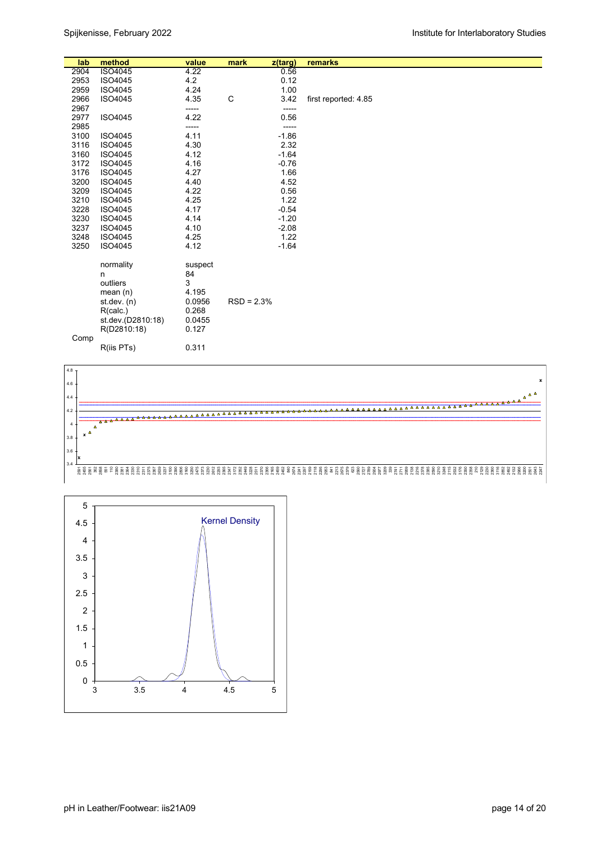| lab  | method                                                                                                              | value                                                                      | mark         | z(targ) | remarks              |
|------|---------------------------------------------------------------------------------------------------------------------|----------------------------------------------------------------------------|--------------|---------|----------------------|
| 2904 | ISO4045                                                                                                             | 4.22                                                                       |              | 0.56    |                      |
| 2953 | ISO4045                                                                                                             | 4.2                                                                        |              | 0.12    |                      |
| 2959 | ISO4045                                                                                                             | 4.24                                                                       |              | 1.00    |                      |
| 2966 | ISO4045                                                                                                             | 4.35                                                                       | C            | 3.42    | first reported: 4.85 |
| 2967 |                                                                                                                     | -----                                                                      |              | -----   |                      |
| 2977 | ISO4045                                                                                                             | 4.22                                                                       |              | 0.56    |                      |
| 2985 |                                                                                                                     | -----                                                                      |              | -----   |                      |
| 3100 | ISO4045                                                                                                             | 4.11                                                                       |              | $-1.86$ |                      |
| 3116 | ISO4045                                                                                                             | 4.30                                                                       |              | 2.32    |                      |
| 3160 | ISO4045                                                                                                             | 4.12                                                                       |              | $-1.64$ |                      |
| 3172 | ISO4045                                                                                                             | 4.16                                                                       |              | $-0.76$ |                      |
| 3176 | ISO4045                                                                                                             | 4.27                                                                       |              | 1.66    |                      |
| 3200 | ISO4045                                                                                                             | 4.40                                                                       |              | 4.52    |                      |
| 3209 | ISO4045                                                                                                             | 4.22                                                                       |              | 0.56    |                      |
| 3210 | ISO4045                                                                                                             | 4.25                                                                       |              | 1.22    |                      |
| 3228 | ISO4045                                                                                                             | 4.17                                                                       |              | $-0.54$ |                      |
| 3230 | ISO4045                                                                                                             | 4.14                                                                       |              | $-1.20$ |                      |
| 3237 | ISO4045                                                                                                             | 4.10                                                                       |              | $-2.08$ |                      |
| 3248 | ISO4045                                                                                                             | 4.25                                                                       |              | 1.22    |                      |
| 3250 | ISO4045                                                                                                             | 4.12                                                                       |              | $-1.64$ |                      |
| Comp | normality<br>n<br>outliers<br>mean(n)<br>st. dev. (n)<br>R(calc.)<br>st.dev.(D2810:18)<br>R(D2810:18)<br>R(iis PTs) | suspect<br>84<br>3<br>4.195<br>0.0956<br>0.268<br>0.0455<br>0.127<br>0.311 | $RSD = 2.3%$ |         |                      |



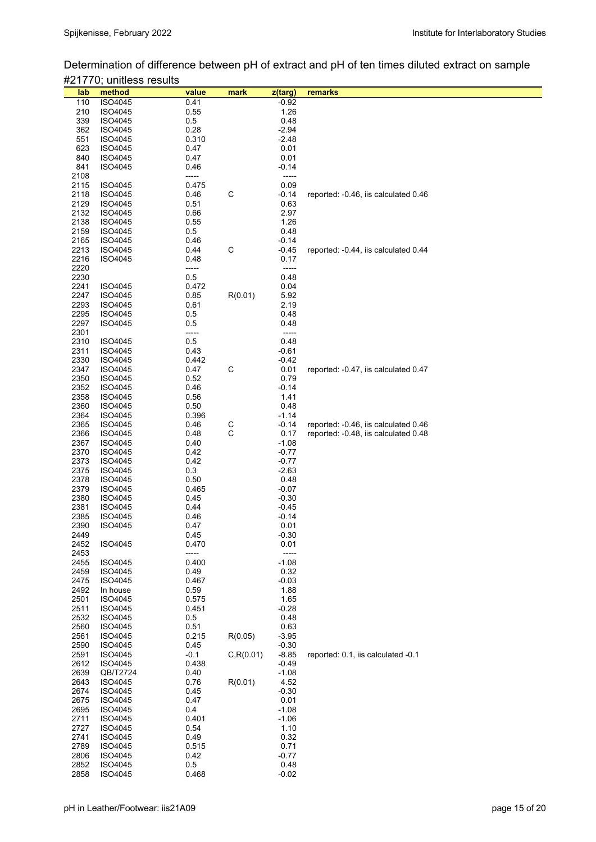Determination of difference between pH of extract and pH of ten times diluted extract on sample #21770; unitless results

| lab  | method         | value  | mark        | z(targ) | remarks                              |
|------|----------------|--------|-------------|---------|--------------------------------------|
| 110  | ISO4045        | 0.41   |             | $-0.92$ |                                      |
|      |                |        |             |         |                                      |
| 210  | ISO4045        | 0.55   |             | 1.26    |                                      |
| 339  | ISO4045        | 0.5    |             | 0.48    |                                      |
| 362  | ISO4045        | 0.28   |             | $-2.94$ |                                      |
| 551  | ISO4045        | 0.310  |             | $-2.48$ |                                      |
| 623  | ISO4045        | 0.47   |             | 0.01    |                                      |
|      |                |        |             |         |                                      |
| 840  | ISO4045        | 0.47   |             | 0.01    |                                      |
| 841  | ISO4045        | 0.46   |             | $-0.14$ |                                      |
| 2108 |                | -----  |             | -----   |                                      |
| 2115 | <b>ISO4045</b> | 0.475  |             | 0.09    |                                      |
|      |                |        |             |         |                                      |
| 2118 | ISO4045        | 0.46   | $\mathsf C$ | $-0.14$ | reported: -0.46, iis calculated 0.46 |
| 2129 | ISO4045        | 0.51   |             | 0.63    |                                      |
| 2132 | <b>ISO4045</b> | 0.66   |             | 2.97    |                                      |
| 2138 | ISO4045        | 0.55   |             | 1.26    |                                      |
| 2159 | <b>ISO4045</b> | 0.5    |             | 0.48    |                                      |
|      |                |        |             |         |                                      |
| 2165 | ISO4045        | 0.46   |             | $-0.14$ |                                      |
| 2213 | ISO4045        | 0.44   | $\mathsf C$ | $-0.45$ | reported: -0.44, iis calculated 0.44 |
| 2216 | ISO4045        | 0.48   |             | 0.17    |                                      |
| 2220 |                | -----  |             | -----   |                                      |
| 2230 |                | 0.5    |             | 0.48    |                                      |
|      |                |        |             |         |                                      |
| 2241 | ISO4045        | 0.472  |             | 0.04    |                                      |
| 2247 | ISO4045        | 0.85   | R(0.01)     | 5.92    |                                      |
| 2293 | <b>ISO4045</b> | 0.61   |             | 2.19    |                                      |
| 2295 | ISO4045        | 0.5    |             | 0.48    |                                      |
| 2297 | ISO4045        | 0.5    |             | 0.48    |                                      |
|      |                |        |             |         |                                      |
| 2301 |                | -----  |             | -----   |                                      |
| 2310 | <b>ISO4045</b> | 0.5    |             | 0.48    |                                      |
| 2311 | <b>ISO4045</b> | 0.43   |             | $-0.61$ |                                      |
| 2330 | ISO4045        | 0.442  |             | $-0.42$ |                                      |
| 2347 | ISO4045        | 0.47   | С           | 0.01    | reported: -0.47, iis calculated 0.47 |
|      |                |        |             |         |                                      |
| 2350 | ISO4045        | 0.52   |             | 0.79    |                                      |
| 2352 | ISO4045        | 0.46   |             | $-0.14$ |                                      |
| 2358 | ISO4045        | 0.56   |             | 1.41    |                                      |
| 2360 | ISO4045        | 0.50   |             | 0.48    |                                      |
| 2364 | ISO4045        | 0.396  |             | $-1.14$ |                                      |
|      |                |        |             |         |                                      |
| 2365 | ISO4045        | 0.46   | C           | $-0.14$ | reported: -0.46, iis calculated 0.46 |
| 2366 | ISO4045        | 0.48   | $\mathsf C$ | 0.17    | reported: -0.48, iis calculated 0.48 |
| 2367 | ISO4045        | 0.40   |             | $-1.08$ |                                      |
| 2370 | ISO4045        | 0.42   |             | $-0.77$ |                                      |
| 2373 | ISO4045        | 0.42   |             | $-0.77$ |                                      |
|      |                |        |             |         |                                      |
| 2375 | ISO4045        | 0.3    |             | $-2.63$ |                                      |
| 2378 | ISO4045        | 0.50   |             | 0.48    |                                      |
| 2379 | ISO4045        | 0.465  |             | $-0.07$ |                                      |
| 2380 | ISO4045        | 0.45   |             | $-0.30$ |                                      |
| 2381 | ISO4045        | 0.44   |             | $-0.45$ |                                      |
| 2385 |                |        |             | $-0.14$ |                                      |
|      | ISO4045        | 0.46   |             |         |                                      |
| 2390 | <b>ISO4045</b> | 0.47   |             | 0.01    |                                      |
| 2449 |                | 0.45   |             | $-0.30$ |                                      |
| 2452 | ISO4045        | 0.470  |             | 0.01    |                                      |
| 2453 |                | -----  |             | -----   |                                      |
| 2455 | ISO4045        | 0.400  |             | $-1.08$ |                                      |
|      |                |        |             |         |                                      |
| 2459 | ISO4045        | 0.49   |             | 0.32    |                                      |
| 2475 | ISO4045        | 0.467  |             | $-0.03$ |                                      |
| 2492 | In house       | 0.59   |             | 1.88    |                                      |
| 2501 | ISO4045        | 0.575  |             | 1.65    |                                      |
| 2511 | ISO4045        | 0.451  |             | $-0.28$ |                                      |
|      |                |        |             |         |                                      |
| 2532 | ISO4045        | 0.5    |             | 0.48    |                                      |
| 2560 | ISO4045        | 0.51   |             | 0.63    |                                      |
| 2561 | ISO4045        | 0.215  | R(0.05)     | $-3.95$ |                                      |
| 2590 | ISO4045        | 0.45   |             | $-0.30$ |                                      |
| 2591 | ISO4045        | $-0.1$ | C, R(0.01)  | $-8.85$ | reported: 0.1, iis calculated -0.1   |
|      |                |        |             |         |                                      |
| 2612 | ISO4045        | 0.438  |             | $-0.49$ |                                      |
| 2639 | QB/T2724       | 0.40   |             | $-1.08$ |                                      |
| 2643 | ISO4045        | 0.76   | R(0.01)     | 4.52    |                                      |
| 2674 | ISO4045        | 0.45   |             | $-0.30$ |                                      |
| 2675 | ISO4045        | 0.47   |             | 0.01    |                                      |
|      |                |        |             |         |                                      |
| 2695 | ISO4045        | 0.4    |             | $-1.08$ |                                      |
| 2711 | ISO4045        | 0.401  |             | $-1.06$ |                                      |
| 2727 | ISO4045        | 0.54   |             | 1.10    |                                      |
| 2741 | ISO4045        | 0.49   |             | 0.32    |                                      |
| 2789 | ISO4045        | 0.515  |             | 0.71    |                                      |
|      |                |        |             |         |                                      |
| 2806 | ISO4045        | 0.42   |             | $-0.77$ |                                      |
| 2852 | ISO4045        | 0.5    |             | 0.48    |                                      |
| 2858 | ISO4045        | 0.468  |             | $-0.02$ |                                      |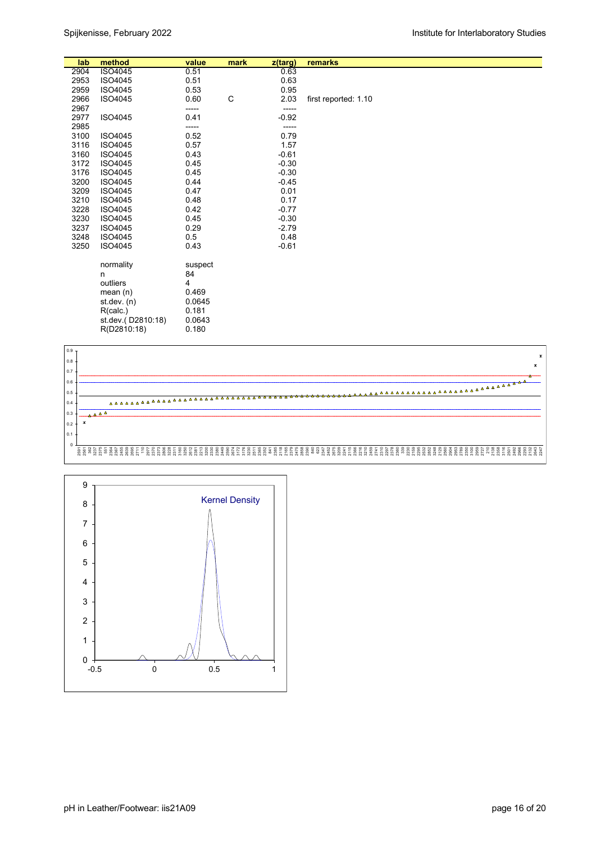| lab  | method                                                                                                  | value                                                             | mark | z(targ) | remarks              |
|------|---------------------------------------------------------------------------------------------------------|-------------------------------------------------------------------|------|---------|----------------------|
| 2904 | ISO4045                                                                                                 | 0.51                                                              |      | 0.63    |                      |
| 2953 | ISO4045                                                                                                 | 0.51                                                              |      | 0.63    |                      |
| 2959 | ISO4045                                                                                                 | 0.53                                                              |      | 0.95    |                      |
| 2966 | ISO4045                                                                                                 | 0.60                                                              | C    | 2.03    | first reported: 1.10 |
| 2967 |                                                                                                         | -----                                                             |      | -----   |                      |
| 2977 | ISO4045                                                                                                 | 0.41                                                              |      | $-0.92$ |                      |
| 2985 |                                                                                                         | -----                                                             |      | -----   |                      |
| 3100 | ISO4045                                                                                                 | 0.52                                                              |      | 0.79    |                      |
| 3116 | ISO4045                                                                                                 | 0.57                                                              |      | 1.57    |                      |
| 3160 | ISO4045                                                                                                 | 0.43                                                              |      | $-0.61$ |                      |
| 3172 | ISO4045                                                                                                 | 0.45                                                              |      | $-0.30$ |                      |
| 3176 | ISO4045                                                                                                 | 0.45                                                              |      | $-0.30$ |                      |
| 3200 | ISO4045                                                                                                 | 0.44                                                              |      | $-0.45$ |                      |
| 3209 | ISO4045                                                                                                 | 0.47                                                              |      | 0.01    |                      |
| 3210 | ISO4045                                                                                                 | 0.48                                                              |      | 0.17    |                      |
| 3228 | ISO4045                                                                                                 | 0.42                                                              |      | $-0.77$ |                      |
| 3230 | ISO4045                                                                                                 | 0.45                                                              |      | $-0.30$ |                      |
| 3237 | ISO4045                                                                                                 | 0.29                                                              |      | $-2.79$ |                      |
| 3248 | ISO4045                                                                                                 | 0.5                                                               |      | 0.48    |                      |
| 3250 | ISO4045                                                                                                 | 0.43                                                              |      | $-0.61$ |                      |
|      | normality<br>n<br>outliers<br>mean $(n)$<br>st.dev. (n)<br>R(calc.)<br>st.dev.(D2810:18)<br>R(D2810:18) | suspect<br>84<br>4<br>0.469<br>0.0645<br>0.181<br>0.0643<br>0.180 |      |         |                      |



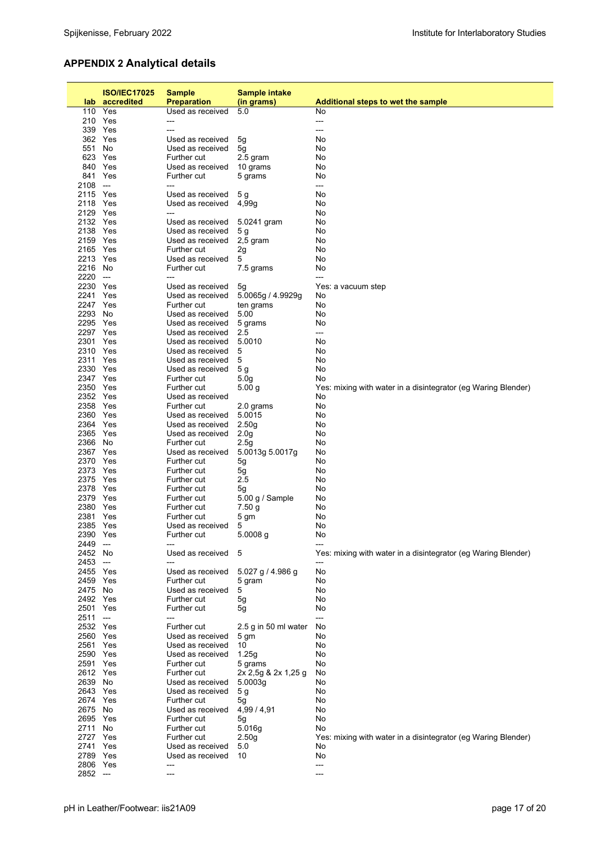## **APPENDIX 2 Analytical details**

|                      | <b>ISO/IEC17025</b>      | <b>Sample</b>                        | <b>Sample intake</b>     |                                                               |
|----------------------|--------------------------|--------------------------------------|--------------------------|---------------------------------------------------------------|
| lab.                 | accredited               | <b>Preparation</b>                   | (in grams)               | <b>Additional steps to wet the sample</b>                     |
|                      | 110 Yes                  | Used as received                     | 5.0                      | No                                                            |
|                      | 210 Yes                  | ---                                  |                          | ---                                                           |
|                      | 339 Yes                  | ---                                  |                          | ---                                                           |
|                      | 362 Yes                  | Used as received                     | 5g                       | No                                                            |
| 551                  | No                       | Used as received                     | 5g                       | No                                                            |
| 840                  | 623 Yes<br>Yes           | Further cut<br>Used as received      | 2.5 gram                 | No<br>No                                                      |
| 841                  | Yes                      | Further cut                          | 10 grams<br>5 grams      | No                                                            |
| 2108                 | $\hspace{0.05cm} \ldots$ | ---                                  |                          | ---                                                           |
| 2115 Yes             |                          | Used as received                     | 5 g                      | No                                                            |
| 2118 Yes             |                          | Used as received                     | 4,99q                    | No                                                            |
| 2129 Yes             |                          | ---                                  |                          | No                                                            |
| 2132 Yes             |                          | Used as received                     | 5.0241 gram              | No                                                            |
| 2138 Yes             |                          | Used as received                     | 5 <sub>g</sub>           | No                                                            |
| 2159 Yes<br>2165 Yes |                          | Used as received<br>Further cut      | $2,5$ gram               | No<br>No                                                      |
| 2213 Yes             |                          | Used as received                     | 2g<br>5                  | No                                                            |
| 2216                 | No                       | Further cut                          | 7.5 grams                | No                                                            |
| 2220                 | $\hspace{0.05cm} \ldots$ | ---                                  |                          | ---                                                           |
| 2230 Yes             |                          | Used as received                     | 5g                       | Yes: a vacuum step                                            |
| 2241 Yes             |                          | Used as received                     | 5.0065g / 4.9929g        | No                                                            |
| 2247 Yes             |                          | Further cut                          | ten grams                | No                                                            |
| 2293 No              |                          | Used as received                     | 5.00                     | No                                                            |
| 2295 Yes             |                          | Used as received                     | 5 grams                  | No                                                            |
| 2297 Yes             |                          | Used as received                     | 2.5                      | ---                                                           |
| 2301 Yes<br>2310 Yes |                          | Used as received<br>Used as received | 5.0010<br>5              | No<br>No                                                      |
| 2311 Yes             |                          | Used as received                     | 5                        | No                                                            |
| 2330 Yes             |                          | Used as received                     | 5 g                      | No                                                            |
| 2347 Yes             |                          | Further cut                          | 5.0 <sub>g</sub>         | No                                                            |
| 2350 Yes             |                          | Further cut                          | 5.00 g                   | Yes: mixing with water in a disintegrator (eg Waring Blender) |
| 2352 Yes             |                          | Used as received                     |                          | No                                                            |
| 2358 Yes             |                          | Further cut                          | 2.0 grams                | No                                                            |
| 2360 Yes             |                          | Used as received                     | 5.0015                   | No                                                            |
| 2364 Yes             |                          | Used as received                     | 2.50 <sub>g</sub>        | No                                                            |
| 2365 Yes<br>2366     | No                       | Used as received<br>Further cut      | 2.0 <sub>g</sub><br>2.5g | No<br>No                                                      |
| 2367 Yes             |                          | Used as received                     | 5.0013g 5.0017g          | No                                                            |
| 2370                 | Yes                      | Further cut                          | 5g                       | No                                                            |
| 2373 Yes             |                          | Further cut                          | 5g                       | No                                                            |
| 2375 Yes             |                          | Further cut                          | 2.5                      | No                                                            |
| 2378 Yes             |                          | Further cut                          | 5g                       | No                                                            |
| 2379 Yes             |                          | Further cut                          | $5.00$ g / Sample        | No                                                            |
| 2380 Yes             |                          | Further cut                          | 7.50 g                   | No                                                            |
| 2381<br>2385 Yes     | Yes                      | Further cut                          | 5 gm                     | No                                                            |
| 2390 Yes             |                          | Used as received<br>Further cut      | 5<br>5.0008 g            | No<br>No                                                      |
| 2449                 | $\overline{\phantom{a}}$ |                                      |                          |                                                               |
| 2452 No              |                          | Used as received                     | 5                        | Yes: mixing with water in a disintegrator (eg Waring Blender) |
| 2453                 | $\hspace{0.05cm} \ldots$ |                                      |                          |                                                               |
| 2455 Yes             |                          | Used as received                     | 5.027 g / 4.986 g        | No                                                            |
| 2459 Yes             |                          | Further cut                          | 5 gram                   | No                                                            |
| 2475 No              |                          | Used as received                     | 5                        | No                                                            |
| 2492 Yes             |                          | Further cut                          | 5g                       | No                                                            |
| 2501 Yes<br>2511     | $\hspace{0.05cm} \ldots$ | Further cut<br>---                   | 5g                       | No<br>---                                                     |
| 2532 Yes             |                          | Further cut                          | 2.5 g in 50 ml water     | No                                                            |
| 2560 Yes             |                          | Used as received                     | 5 gm                     | No                                                            |
| 2561 Yes             |                          | Used as received                     | 10                       | No                                                            |
| 2590 Yes             |                          | Used as received                     | 1.25q                    | No                                                            |
| 2591 Yes             |                          | Further cut                          | 5 grams                  | No                                                            |
| 2612 Yes             |                          | Further cut                          | 2x 2,5g & 2x 1,25 g      | No                                                            |
| 2639 No              |                          | Used as received                     | 5.0003g                  | No                                                            |
| 2643 Yes             |                          | Used as received                     | 5 g                      | No                                                            |
| 2674 Yes<br>2675 No  |                          | Further cut                          | 5g<br>4,99 / 4,91        | No<br>No                                                      |
| 2695 Yes             |                          | Used as received<br>Further cut      | 5g                       | No                                                            |
| 2711 No              |                          | Further cut                          | 5.016g                   | No                                                            |
| 2727 Yes             |                          | Further cut                          | 2.50 <sub>g</sub>        | Yes: mixing with water in a disintegrator (eg Waring Blender) |
| 2741 Yes             |                          | Used as received                     | 5.0                      | No                                                            |
| 2789 Yes             |                          | Used as received                     | 10                       | No                                                            |
| 2806 Yes             |                          | ---                                  |                          | ---                                                           |
| 2852 ---             |                          | ---                                  |                          | ---                                                           |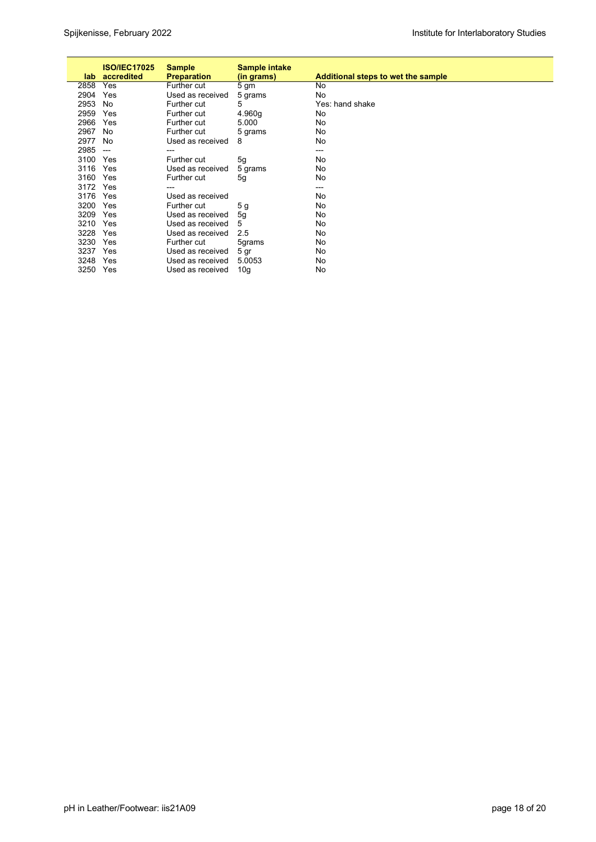| lab. | <b>ISO/IEC17025</b><br>accredited | <b>Sample</b><br><b>Preparation</b> | Sample intake<br>(in grams) | Additional steps to wet the sample |
|------|-----------------------------------|-------------------------------------|-----------------------------|------------------------------------|
| 2858 | Yes                               | Further cut                         | 5 <sub>gm</sub>             | No                                 |
| 2904 | Yes                               | Used as received                    | 5 grams                     | No                                 |
| 2953 | No                                | Further cut                         | 5                           | Yes: hand shake                    |
| 2959 | Yes                               | Further cut                         | 4.960g                      | No                                 |
| 2966 | Yes                               | Further cut                         | 5.000                       | No                                 |
| 2967 | No                                | Further cut                         | 5 grams                     | No                                 |
| 2977 | No                                | Used as received                    | 8                           | No                                 |
| 2985 | $\hspace{0.05cm} \ldots$          | ---                                 |                             | $---$                              |
| 3100 | Yes                               | Further cut                         | 5g                          | No                                 |
| 3116 | Yes                               | Used as received                    | 5 grams                     | No                                 |
| 3160 | Yes                               | Further cut                         | 5g                          | No                                 |
| 3172 | Yes                               | ---                                 |                             | ---                                |
| 3176 | Yes                               | Used as received                    |                             | No                                 |
| 3200 | Yes                               | Further cut                         | 5g                          | No                                 |
| 3209 | Yes                               | Used as received                    | 5g                          | No                                 |
| 3210 | Yes                               | Used as received                    | 5                           | No                                 |
| 3228 | Yes                               | Used as received                    | 2.5                         | No                                 |
| 3230 | Yes                               | Further cut                         | 5grams                      | No                                 |
| 3237 | Yes                               | Used as received                    | 5 gr                        | No                                 |
| 3248 | Yes                               | Used as received                    | 5.0053                      | No                                 |
| 3250 | Yes                               | Used as received                    | 10g                         | No                                 |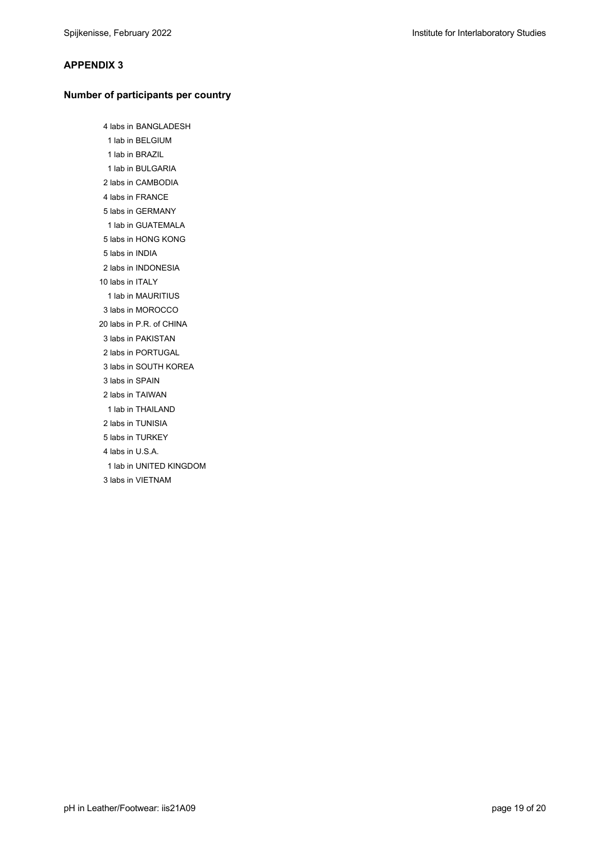#### **APPENDIX 3**

#### **Number of participants per country**

 4 labs in BANGLADESH 1 lab in BELGIUM 1 lab in BRAZIL 1 lab in BULGARIA 2 labs in CAMBODIA 4 labs in FRANCE 5 labs in GERMANY 1 lab in GUATEMALA 5 labs in HONG KONG 5 labs in INDIA 2 labs in INDONESIA 10 labs in ITALY 1 lab in MAURITIUS 3 labs in MOROCCO 20 labs in P.R. of CHINA 3 labs in PAKISTAN 2 labs in PORTUGAL 3 labs in SOUTH KOREA 3 labs in SPAIN 2 labs in TAIWAN 1 lab in THAILAND 2 labs in TUNISIA 5 labs in TURKEY 4 labs in U.S.A. 1 lab in UNITED KINGDOM 3 labs in VIETNAM